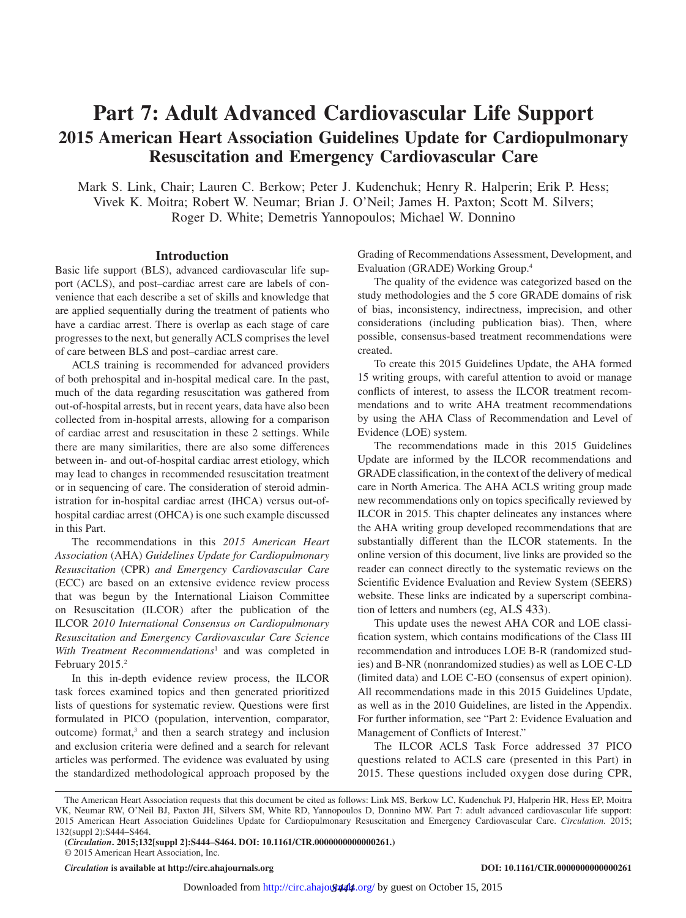# **Part 7: Adult Advanced Cardiovascular Life Support 2015 American Heart Association Guidelines Update for Cardiopulmonary Resuscitation and Emergency Cardiovascular Care**

Mark S. Link, Chair; Lauren C. Berkow; Peter J. Kudenchuk; Henry R. Halperin; Erik P. Hess; Vivek K. Moitra; Robert W. Neumar; Brian J. O'Neil; James H. Paxton; Scott M. Silvers; Roger D. White; Demetris Yannopoulos; Michael W. Donnino

# **Introduction**

Basic life support (BLS), advanced cardiovascular life support (ACLS), and post–cardiac arrest care are labels of convenience that each describe a set of skills and knowledge that are applied sequentially during the treatment of patients who have a cardiac arrest. There is overlap as each stage of care progresses to the next, but generally ACLS comprises the level of care between BLS and post–cardiac arrest care.

ACLS training is recommended for advanced providers of both prehospital and in-hospital medical care. In the past, much of the data regarding resuscitation was gathered from out-of-hospital arrests, but in recent years, data have also been collected from in-hospital arrests, allowing for a comparison of cardiac arrest and resuscitation in these 2 settings. While there are many similarities, there are also some differences between in- and out-of-hospital cardiac arrest etiology, which may lead to changes in recommended resuscitation treatment or in sequencing of care. The consideration of steroid administration for in-hospital cardiac arrest (IHCA) versus out-ofhospital cardiac arrest (OHCA) is one such example discussed in this Part.

The recommendations in this *2015 American Heart Association* (AHA) *Guidelines Update for Cardiopulmonary Resuscitation* (CPR) *and Emergency Cardiovascular Care* (ECC) are based on an extensive evidence review process that was begun by the International Liaison Committee on Resuscitation (ILCOR) after the publication of the ILCOR *2010 International Consensus on Cardiopulmonary Resuscitation and Emergency Cardiovascular Care Science*  With Treatment Recommendations<sup>1</sup> and was completed in February 2015.<sup>2</sup>

In this in-depth evidence review process, the ILCOR task forces examined topics and then generated prioritized lists of questions for systematic review. Questions were first formulated in PICO (population, intervention, comparator, outcome) format,<sup>3</sup> and then a search strategy and inclusion and exclusion criteria were defined and a search for relevant articles was performed. The evidence was evaluated by using the standardized methodological approach proposed by the

Grading of Recommendations Assessment, Development, and Evaluation (GRADE) Working Group.4

The quality of the evidence was categorized based on the study methodologies and the 5 core GRADE domains of risk of bias, inconsistency, indirectness, imprecision, and other considerations (including publication bias). Then, where possible, consensus-based treatment recommendations were created.

To create this 2015 Guidelines Update, the AHA formed 15 writing groups, with careful attention to avoid or manage conflicts of interest, to assess the ILCOR treatment recommendations and to write AHA treatment recommendations by using the AHA Class of Recommendation and Level of Evidence (LOE) system.

The recommendations made in this 2015 Guidelines Update are informed by the ILCOR recommendations and GRADE classification, in the context of the delivery of medical care in North America. The AHA ACLS writing group made new recommendations only on topics specifically reviewed by ILCOR in 2015. This chapter delineates any instances where the AHA writing group developed recommendations that are substantially different than the ILCOR statements. In the online version of this document, live links are provided so the reader can connect directly to the systematic reviews on the Scientific Evidence Evaluation and Review System (SEERS) website. These links are indicated by a superscript combination of letters and numbers (eg, ALS 433).

This update uses the newest AHA COR and LOE classification system, which contains modifications of the Class III recommendation and introduces LOE B-R (randomized studies) and B-NR (nonrandomized studies) as well as LOE C-LD (limited data) and LOE C-EO (consensus of expert opinion). All recommendations made in this 2015 Guidelines Update, as well as in the 2010 Guidelines, are listed in the Appendix. For further information, see "Part 2: Evidence Evaluation and Management of Conflicts of Interest."

The ILCOR ACLS Task Force addressed 37 PICO questions related to ACLS care (presented in this Part) in 2015. These questions included oxygen dose during CPR,

The American Heart Association requests that this document be cited as follows: Link MS, Berkow LC, Kudenchuk PJ, Halperin HR, Hess EP, Moitra VK, Neumar RW, O'Neil BJ, Paxton JH, Silvers SM, White RD, Yannopoulos D, Donnino MW. Part 7: adult advanced cardiovascular life support: 2015 American Heart Association Guidelines Update for Cardiopulmonary Resuscitation and Emergency Cardiovascular Care. *Circulation.* 2015; 132(suppl 2):S444–S464.

**<sup>(</sup>***Circulation***. 2015;132[suppl 2]:S444–S464. DOI: 10.1161/CIR.0000000000000261.)**

<sup>© 2015</sup> American Heart Association, Inc.

*Circulation* **is available at http://circ.ahajournals.org DOI: 10.1161/CIR.0000000000000261**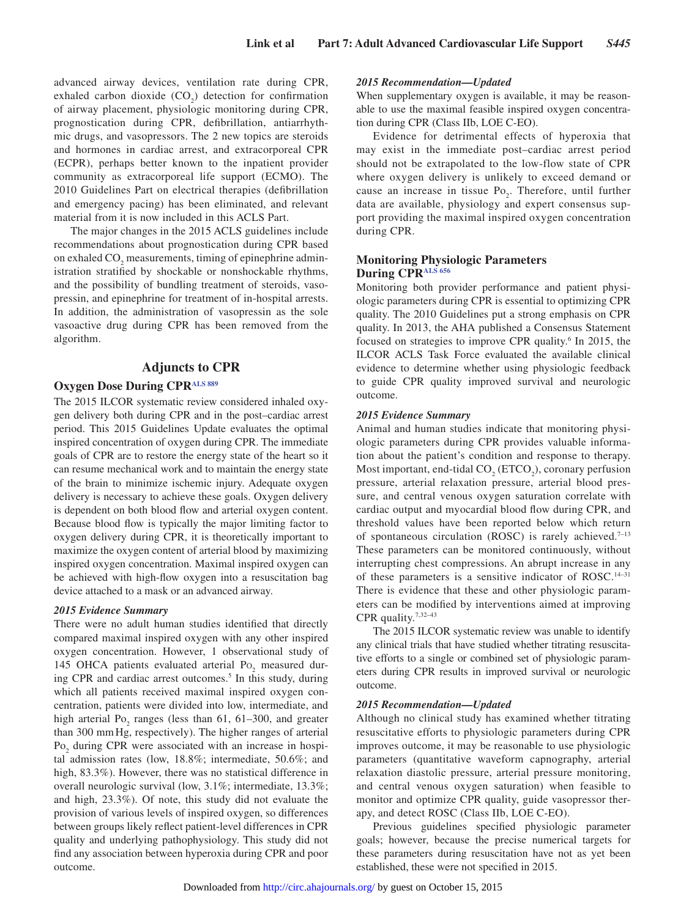advanced airway devices, ventilation rate during CPR, exhaled carbon dioxide  $(CO_2)$  detection for confirmation of airway placement, physiologic monitoring during CPR, prognostication during CPR, defibrillation, antiarrhythmic drugs, and vasopressors. The 2 new topics are steroids and hormones in cardiac arrest, and extracorporeal CPR (ECPR), perhaps better known to the inpatient provider community as extracorporeal life support (ECMO). The 2010 Guidelines Part on electrical therapies (defibrillation and emergency pacing) has been eliminated, and relevant material from it is now included in this ACLS Part.

The major changes in the 2015 ACLS guidelines include recommendations about prognostication during CPR based on exhaled  $\mathrm{CO}_2$  measurements, timing of epinephrine administration stratified by shockable or nonshockable rhythms, and the possibility of bundling treatment of steroids, vasopressin, and epinephrine for treatment of in-hospital arrests. In addition, the administration of vasopressin as the sole vasoactive drug during CPR has been removed from the algorithm.

# **Adjuncts to CPR**

# **Oxygen Dose During CPR[ALS 889](https://volunteer.heart.org/apps/pico/Pages/PublicComment.aspx?q=889)**

The 2015 ILCOR systematic review considered inhaled oxygen delivery both during CPR and in the post–cardiac arrest period. This 2015 Guidelines Update evaluates the optimal inspired concentration of oxygen during CPR. The immediate goals of CPR are to restore the energy state of the heart so it can resume mechanical work and to maintain the energy state of the brain to minimize ischemic injury. Adequate oxygen delivery is necessary to achieve these goals. Oxygen delivery is dependent on both blood flow and arterial oxygen content. Because blood flow is typically the major limiting factor to oxygen delivery during CPR, it is theoretically important to maximize the oxygen content of arterial blood by maximizing inspired oxygen concentration. Maximal inspired oxygen can be achieved with high-flow oxygen into a resuscitation bag device attached to a mask or an advanced airway.

#### *2015 Evidence Summary*

There were no adult human studies identified that directly compared maximal inspired oxygen with any other inspired oxygen concentration. However, 1 observational study of 145 OHCA patients evaluated arterial  $Po_2$  measured during CPR and cardiac arrest outcomes.<sup>5</sup> In this study, during which all patients received maximal inspired oxygen concentration, patients were divided into low, intermediate, and high arterial  $Po_2$  ranges (less than 61, 61–300, and greater than 300 mmHg, respectively). The higher ranges of arterial Po<sub>2</sub> during CPR were associated with an increase in hospital admission rates (low, 18.8%; intermediate, 50.6%; and high, 83.3%). However, there was no statistical difference in overall neurologic survival (low, 3.1%; intermediate, 13.3%; and high, 23.3%). Of note, this study did not evaluate the provision of various levels of inspired oxygen, so differences between groups likely reflect patient-level differences in CPR quality and underlying pathophysiology. This study did not find any association between hyperoxia during CPR and poor outcome.

#### *2015 Recommendation—Updated*

When supplementary oxygen is available, it may be reasonable to use the maximal feasible inspired oxygen concentration during CPR (Class IIb, LOE C-EO).

Evidence for detrimental effects of hyperoxia that may exist in the immediate post–cardiac arrest period should not be extrapolated to the low-flow state of CPR where oxygen delivery is unlikely to exceed demand or cause an increase in tissue  $Po_2$ . Therefore, until further data are available, physiology and expert consensus support providing the maximal inspired oxygen concentration during CPR.

# **Monitoring Physiologic Parameters During CP[RALS 656](https://volunteer.heart.org/apps/pico/Pages/PublicComment.aspx?q=656)**

Monitoring both provider performance and patient physiologic parameters during CPR is essential to optimizing CPR quality. The 2010 Guidelines put a strong emphasis on CPR quality. In 2013, the AHA published a Consensus Statement focused on strategies to improve CPR quality.<sup>6</sup> In 2015, the ILCOR ACLS Task Force evaluated the available clinical evidence to determine whether using physiologic feedback to guide CPR quality improved survival and neurologic outcome.

#### *2015 Evidence Summary*

Animal and human studies indicate that monitoring physiologic parameters during CPR provides valuable information about the patient's condition and response to therapy. Most important, end-tidal  $CO<sub>2</sub> (ETCO<sub>2</sub>)$ , coronary perfusion pressure, arterial relaxation pressure, arterial blood pressure, and central venous oxygen saturation correlate with cardiac output and myocardial blood flow during CPR, and threshold values have been reported below which return of spontaneous circulation (ROSC) is rarely achieved.<sup>7-13</sup> These parameters can be monitored continuously, without interrupting chest compressions. An abrupt increase in any of these parameters is a sensitive indicator of ROSC.14–31 There is evidence that these and other physiologic parameters can be modified by interventions aimed at improving CPR quality.7,32–43

The 2015 ILCOR systematic review was unable to identify any clinical trials that have studied whether titrating resuscitative efforts to a single or combined set of physiologic parameters during CPR results in improved survival or neurologic outcome.

#### *2015 Recommendation—Updated*

Although no clinical study has examined whether titrating resuscitative efforts to physiologic parameters during CPR improves outcome, it may be reasonable to use physiologic parameters (quantitative waveform capnography, arterial relaxation diastolic pressure, arterial pressure monitoring, and central venous oxygen saturation) when feasible to monitor and optimize CPR quality, guide vasopressor therapy, and detect ROSC (Class IIb, LOE C-EO).

Previous guidelines specified physiologic parameter goals; however, because the precise numerical targets for these parameters during resuscitation have not as yet been established, these were not specified in 2015.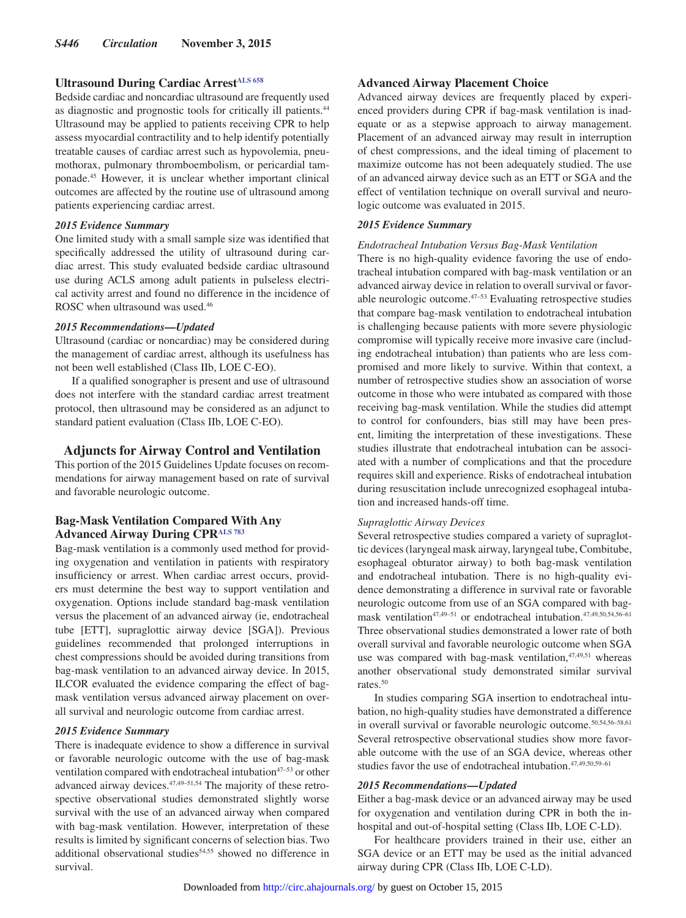# **Ultrasound During Cardiac Arrest ALS 658**

Bedside cardiac and noncardiac ultrasound are frequently used as diagnostic and prognostic tools for critically ill patients.44 Ultrasound may be applied to patients receiving CPR to help assess myocardial contractility and to help identify potentially treatable causes of cardiac arrest such as hypovolemia, pneumothorax, pulmonary thromboembolism, or pericardial tamponade.45 However, it is unclear whether important clinical outcomes are affected by the routine use of ultrasound among patients experiencing cardiac arrest.

### *2015 Evidence Summary*

One limited study with a small sample size was identified that specifically addressed the utility of ultrasound during cardiac arrest. This study evaluated bedside cardiac ultrasound use during ACLS among adult patients in pulseless electrical activity arrest and found no difference in the incidence of ROSC when ultrasound was used.46

# *2015 Recommendations—Updated*

Ultrasound (cardiac or noncardiac) may be considered during the management of cardiac arrest, although its usefulness has not been well established (Class IIb, LOE C-EO).

If a qualified sonographer is present and use of ultrasound does not interfere with the standard cardiac arrest treatment protocol, then ultrasound may be considered as an adjunct to standard patient evaluation (Class IIb, LOE C-EO).

# **Adjuncts for Airway Control and Ventilation**

This portion of the 2015 Guidelines Update focuses on recommendations for airway management based on rate of survival and favorable neurologic outcome.

# **Bag-Mask Ventilation Compared With Any Advanced Airway During CP[RALS 783](https://volunteer.heart.org/apps/pico/Pages/PublicComment.aspx?q=783)**

Bag-mask ventilation is a commonly used method for providing oxygenation and ventilation in patients with respiratory insufficiency or arrest. When cardiac arrest occurs, providers must determine the best way to support ventilation and oxygenation. Options include standard bag-mask ventilation versus the placement of an advanced airway (ie, endotracheal tube [ETT], supraglottic airway device [SGA]). Previous guidelines recommended that prolonged interruptions in chest compressions should be avoided during transitions from bag-mask ventilation to an advanced airway device. In 2015, ILCOR evaluated the evidence comparing the effect of bagmask ventilation versus advanced airway placement on overall survival and neurologic outcome from cardiac arrest.

# *2015 Evidence Summary*

There is inadequate evidence to show a difference in survival or favorable neurologic outcome with the use of bag-mask ventilation compared with endotracheal intubation<sup>47-53</sup> or other advanced airway devices.47,49–51,54 The majority of these retrospective observational studies demonstrated slightly worse survival with the use of an advanced airway when compared with bag-mask ventilation. However, interpretation of these results is limited by significant concerns of selection bias. Two additional observational studies<sup>54,55</sup> showed no difference in survival.

# **Advanced Airway Placement Choice**

Advanced airway devices are frequently placed by experienced providers during CPR if bag-mask ventilation is inadequate or as a stepwise approach to airway management. Placement of an advanced airway may result in interruption of chest compressions, and the ideal timing of placement to maximize outcome has not been adequately studied. The use of an advanced airway device such as an ETT or SGA and the effect of ventilation technique on overall survival and neurologic outcome was evaluated in 2015.

# *2015 Evidence Summary*

### *Endotracheal Intubation Versus Bag-Mask Ventilation*

There is no high-quality evidence favoring the use of endotracheal intubation compared with bag-mask ventilation or an advanced airway device in relation to overall survival or favorable neurologic outcome.47–53 Evaluating retrospective studies that compare bag-mask ventilation to endotracheal intubation is challenging because patients with more severe physiologic compromise will typically receive more invasive care (including endotracheal intubation) than patients who are less compromised and more likely to survive. Within that context, a number of retrospective studies show an association of worse outcome in those who were intubated as compared with those receiving bag-mask ventilation. While the studies did attempt to control for confounders, bias still may have been present, limiting the interpretation of these investigations. These studies illustrate that endotracheal intubation can be associated with a number of complications and that the procedure requires skill and experience. Risks of endotracheal intubation during resuscitation include unrecognized esophageal intubation and increased hands-off time.

#### *Supraglottic Airway Devices*

Several retrospective studies compared a variety of supraglottic devices (laryngeal mask airway, laryngeal tube, Combitube, esophageal obturator airway) to both bag-mask ventilation and endotracheal intubation. There is no high-quality evidence demonstrating a difference in survival rate or favorable neurologic outcome from use of an SGA compared with bagmask ventilation<sup>47,49–51</sup> or endotracheal intubation.<sup>47,49,50,54,56–61</sup> Three observational studies demonstrated a lower rate of both overall survival and favorable neurologic outcome when SGA use was compared with bag-mask ventilation, $47,49,51$  whereas another observational study demonstrated similar survival rates.50

In studies comparing SGA insertion to endotracheal intubation, no high-quality studies have demonstrated a difference in overall survival or favorable neurologic outcome.<sup>50,54,56–58,61</sup> Several retrospective observational studies show more favorable outcome with the use of an SGA device, whereas other studies favor the use of endotracheal intubation.<sup>47,49,50,59-61</sup>

#### *2015 Recommendations—Updated*

Either a bag-mask device or an advanced airway may be used for oxygenation and ventilation during CPR in both the inhospital and out-of-hospital setting (Class IIb, LOE C-LD).

For healthcare providers trained in their use, either an SGA device or an ETT may be used as the initial advanced airway during CPR (Class IIb, LOE C-LD).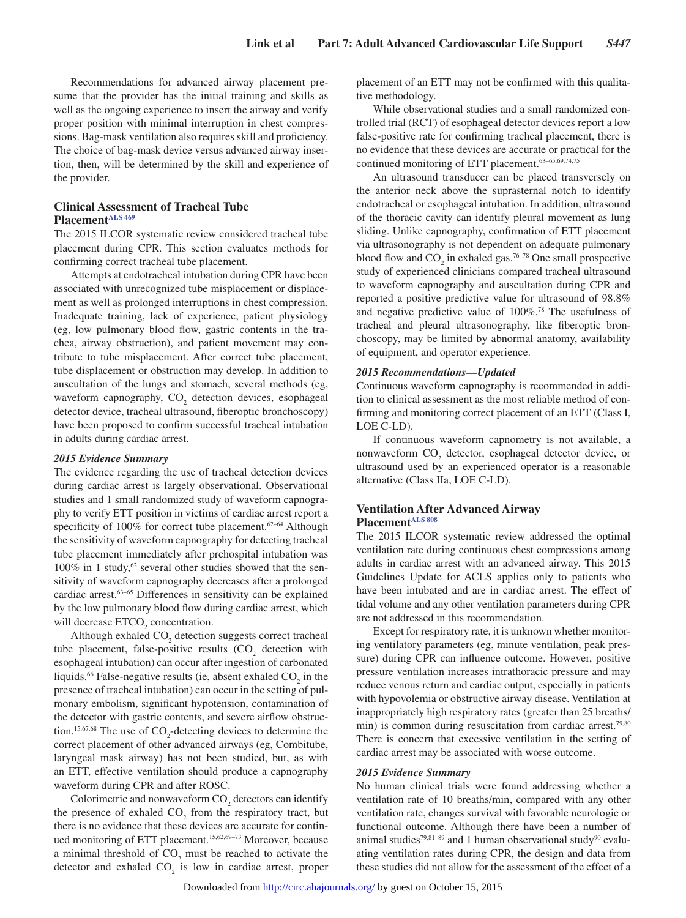Recommendations for advanced airway placement presume that the provider has the initial training and skills as well as the ongoing experience to insert the airway and verify proper position with minimal interruption in chest compressions. Bag-mask ventilation also requires skill and proficiency. The choice of bag-mask device versus advanced airway insertion, then, will be determined by the skill and experience of the provider.

#### **Clinical Assessment of Tracheal Tube Placement[ALS 469](https://volunteer.heart.org/apps/pico/Pages/PublicComment.aspx?q=469)**

The 2015 ILCOR systematic review considered tracheal tube placement during CPR. This section evaluates methods for confirming correct tracheal tube placement.

Attempts at endotracheal intubation during CPR have been associated with unrecognized tube misplacement or displacement as well as prolonged interruptions in chest compression. Inadequate training, lack of experience, patient physiology (eg, low pulmonary blood flow, gastric contents in the trachea, airway obstruction), and patient movement may contribute to tube misplacement. After correct tube placement, tube displacement or obstruction may develop. In addition to auscultation of the lungs and stomach, several methods (eg, waveform capnography,  $CO<sub>2</sub>$  detection devices, esophageal detector device, tracheal ultrasound, fiberoptic bronchoscopy) have been proposed to confirm successful tracheal intubation in adults during cardiac arrest.

#### *2015 Evidence Summary*

The evidence regarding the use of tracheal detection devices during cardiac arrest is largely observational. Observational studies and 1 small randomized study of waveform capnography to verify ETT position in victims of cardiac arrest report a specificity of 100% for correct tube placement.<sup>62-64</sup> Although the sensitivity of waveform capnography for detecting tracheal tube placement immediately after prehospital intubation was 100% in 1 study,62 several other studies showed that the sensitivity of waveform capnography decreases after a prolonged cardiac arrest.63–65 Differences in sensitivity can be explained by the low pulmonary blood flow during cardiac arrest, which will decrease  $ETCO<sub>2</sub>$  concentration.

Although exhaled  $CO<sub>2</sub>$  detection suggests correct tracheal tube placement, false-positive results  $(CO_2)$  detection with esophageal intubation) can occur after ingestion of carbonated liquids.<sup>66</sup> False-negative results (ie, absent exhaled  $CO_2$  in the presence of tracheal intubation) can occur in the setting of pulmonary embolism, significant hypotension, contamination of the detector with gastric contents, and severe airflow obstruction.<sup>15,67,68</sup> The use of  $CO_2$ -detecting devices to determine the correct placement of other advanced airways (eg, Combitube, laryngeal mask airway) has not been studied, but, as with an ETT, effective ventilation should produce a capnography waveform during CPR and after ROSC.

Colorimetric and nonwaveform  $CO<sub>2</sub>$  detectors can identify the presence of exhaled  $CO_2$  from the respiratory tract, but there is no evidence that these devices are accurate for continued monitoring of ETT placement.<sup>15,62,69-73</sup> Moreover, because a minimal threshold of  $CO_2$  must be reached to activate the detector and exhaled  $CO<sub>2</sub>$  is low in cardiac arrest, proper placement of an ETT may not be confirmed with this qualitative methodology.

While observational studies and a small randomized controlled trial (RCT) of esophageal detector devices report a low false-positive rate for confirming tracheal placement, there is no evidence that these devices are accurate or practical for the continued monitoring of ETT placement.<sup>63-65,69,74,75</sup>

An ultrasound transducer can be placed transversely on the anterior neck above the suprasternal notch to identify endotracheal or esophageal intubation. In addition, ultrasound of the thoracic cavity can identify pleural movement as lung sliding. Unlike capnography, confirmation of ETT placement via ultrasonography is not dependent on adequate pulmonary blood flow and  $CO_2$  in exhaled gas.<sup>76-78</sup> One small prospective study of experienced clinicians compared tracheal ultrasound to waveform capnography and auscultation during CPR and reported a positive predictive value for ultrasound of 98.8% and negative predictive value of 100%.78 The usefulness of tracheal and pleural ultrasonography, like fiberoptic bronchoscopy, may be limited by abnormal anatomy, availability of equipment, and operator experience.

#### *2015 Recommendations—Updated*

Continuous waveform capnography is recommended in addition to clinical assessment as the most reliable method of confirming and monitoring correct placement of an ETT (Class I, LOE C-LD).

If continuous waveform capnometry is not available, a nonwaveform CO<sub>2</sub> detector, esophageal detector device, or ultrasound used by an experienced operator is a reasonable alternative (Class IIa, LOE C-LD).

### **Ventilation After Advanced Airway Placement[ALS 808](https://volunteer.heart.org/apps/pico/Pages/PublicComment.aspx?q=808)**

The 2015 ILCOR systematic review addressed the optimal ventilation rate during continuous chest compressions among adults in cardiac arrest with an advanced airway. This 2015 Guidelines Update for ACLS applies only to patients who have been intubated and are in cardiac arrest. The effect of tidal volume and any other ventilation parameters during CPR are not addressed in this recommendation.

Except for respiratory rate, it is unknown whether monitoring ventilatory parameters (eg, minute ventilation, peak pressure) during CPR can influence outcome. However, positive pressure ventilation increases intrathoracic pressure and may reduce venous return and cardiac output, especially in patients with hypovolemia or obstructive airway disease. Ventilation at inappropriately high respiratory rates (greater than 25 breaths/ min) is common during resuscitation from cardiac arrest.<sup>79,80</sup> There is concern that excessive ventilation in the setting of cardiac arrest may be associated with worse outcome.

#### *2015 Evidence Summary*

No human clinical trials were found addressing whether a ventilation rate of 10 breaths/min, compared with any other ventilation rate, changes survival with favorable neurologic or functional outcome. Although there have been a number of animal studies<sup>79,81-89</sup> and 1 human observational study<sup>90</sup> evaluating ventilation rates during CPR, the design and data from these studies did not allow for the assessment of the effect of a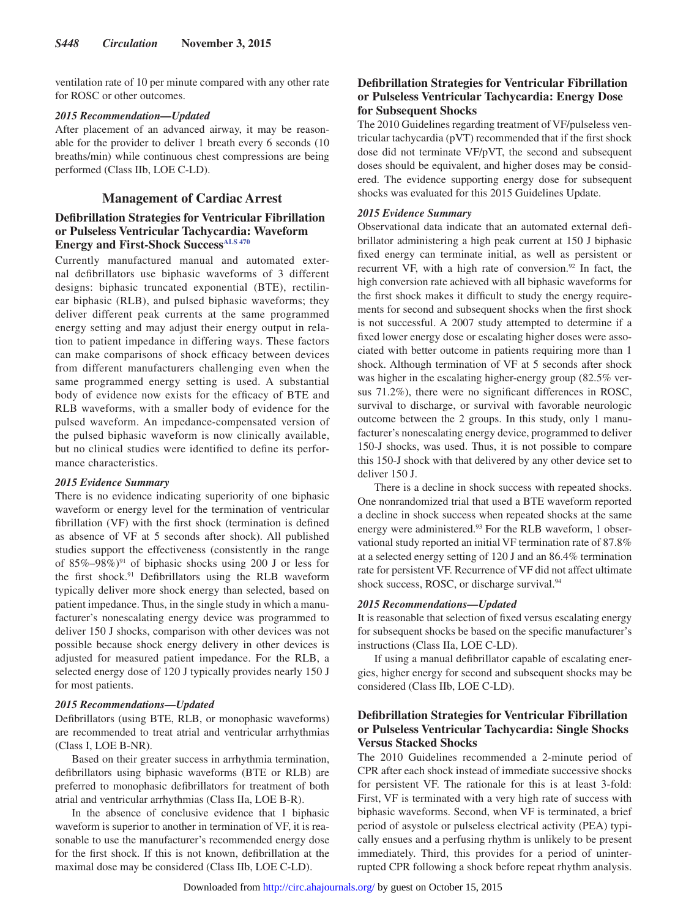ventilation rate of 10 per minute compared with any other rate for ROSC or other outcomes.

#### *2015 Recommendation—Updated*

After placement of an advanced airway, it may be reasonable for the provider to deliver 1 breath every 6 seconds (10 breaths/min) while continuous chest compressions are being performed (Class IIb, LOE C-LD).

# **Management of Cardiac Arrest**

# **Defibrillation Strategies for Ventricular Fibrillation or Pulseless Ventricular Tachycardia: Waveform Energy and First-Shock Success[ALS 470](https://volunteer.heart.org/apps/pico/Pages/PublicComment.aspx?q=470)**

Currently manufactured manual and automated external defibrillators use biphasic waveforms of 3 different designs: biphasic truncated exponential (BTE), rectilinear biphasic (RLB), and pulsed biphasic waveforms; they deliver different peak currents at the same programmed energy setting and may adjust their energy output in relation to patient impedance in differing ways. These factors can make comparisons of shock efficacy between devices from different manufacturers challenging even when the same programmed energy setting is used. A substantial body of evidence now exists for the efficacy of BTE and RLB waveforms, with a smaller body of evidence for the pulsed waveform. An impedance-compensated version of the pulsed biphasic waveform is now clinically available, but no clinical studies were identified to define its performance characteristics.

#### *2015 Evidence Summary*

There is no evidence indicating superiority of one biphasic waveform or energy level for the termination of ventricular fibrillation (VF) with the first shock (termination is defined as absence of VF at 5 seconds after shock). All published studies support the effectiveness (consistently in the range of  $85\% - 98\%)$ <sup>91</sup> of biphasic shocks using 200 J or less for the first shock.<sup>91</sup> Defibrillators using the RLB waveform typically deliver more shock energy than selected, based on patient impedance. Thus, in the single study in which a manufacturer's nonescalating energy device was programmed to deliver 150 J shocks, comparison with other devices was not possible because shock energy delivery in other devices is adjusted for measured patient impedance. For the RLB, a selected energy dose of 120 J typically provides nearly 150 J for most patients.

### *2015 Recommendations—Updated*

Defibrillators (using BTE, RLB, or monophasic waveforms) are recommended to treat atrial and ventricular arrhythmias (Class I, LOE B-NR).

Based on their greater success in arrhythmia termination, defibrillators using biphasic waveforms (BTE or RLB) are preferred to monophasic defibrillators for treatment of both atrial and ventricular arrhythmias (Class IIa, LOE B-R).

In the absence of conclusive evidence that 1 biphasic waveform is superior to another in termination of VF, it is reasonable to use the manufacturer's recommended energy dose for the first shock. If this is not known, defibrillation at the maximal dose may be considered (Class IIb, LOE C-LD).

# **Defibrillation Strategies for Ventricular Fibrillation or Pulseless Ventricular Tachycardia: Energy Dose for Subsequent Shocks**

The 2010 Guidelines regarding treatment of VF/pulseless ventricular tachycardia (pVT) recommended that if the first shock dose did not terminate VF/pVT, the second and subsequent doses should be equivalent, and higher doses may be considered. The evidence supporting energy dose for subsequent shocks was evaluated for this 2015 Guidelines Update.

#### *2015 Evidence Summary*

Observational data indicate that an automated external defibrillator administering a high peak current at 150 J biphasic fixed energy can terminate initial, as well as persistent or recurrent VF, with a high rate of conversion. $92$  In fact, the high conversion rate achieved with all biphasic waveforms for the first shock makes it difficult to study the energy requirements for second and subsequent shocks when the first shock is not successful. A 2007 study attempted to determine if a fixed lower energy dose or escalating higher doses were associated with better outcome in patients requiring more than 1 shock. Although termination of VF at 5 seconds after shock was higher in the escalating higher-energy group (82.5% versus 71.2%), there were no significant differences in ROSC, survival to discharge, or survival with favorable neurologic outcome between the 2 groups. In this study, only 1 manufacturer's nonescalating energy device, programmed to deliver 150-J shocks, was used. Thus, it is not possible to compare this 150-J shock with that delivered by any other device set to deliver 150 J.

There is a decline in shock success with repeated shocks. One nonrandomized trial that used a BTE waveform reported a decline in shock success when repeated shocks at the same energy were administered.93 For the RLB waveform, 1 observational study reported an initial VF termination rate of 87.8% at a selected energy setting of 120 J and an 86.4% termination rate for persistent VF. Recurrence of VF did not affect ultimate shock success, ROSC, or discharge survival.<sup>94</sup>

#### *2015 Recommendations—Updated*

It is reasonable that selection of fixed versus escalating energy for subsequent shocks be based on the specific manufacturer's instructions (Class IIa, LOE C-LD).

If using a manual defibrillator capable of escalating energies, higher energy for second and subsequent shocks may be considered (Class IIb, LOE C-LD).

# **Defibrillation Strategies for Ventricular Fibrillation or Pulseless Ventricular Tachycardia: Single Shocks Versus Stacked Shocks**

The 2010 Guidelines recommended a 2-minute period of CPR after each shock instead of immediate successive shocks for persistent VF. The rationale for this is at least 3-fold: First, VF is terminated with a very high rate of success with biphasic waveforms. Second, when VF is terminated, a brief period of asystole or pulseless electrical activity (PEA) typically ensues and a perfusing rhythm is unlikely to be present immediately. Third, this provides for a period of uninterrupted CPR following a shock before repeat rhythm analysis.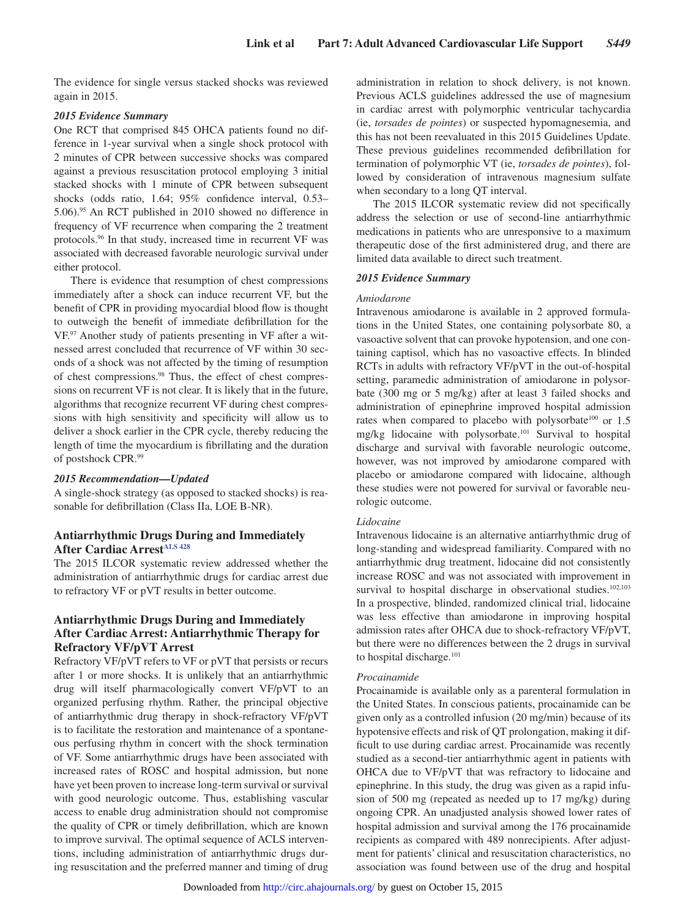The evidence for single versus stacked shocks was reviewed again in 2015.

#### *2015 Evidence Summary*

One RCT that comprised 845 OHCA patients found no difference in 1-year survival when a single shock protocol with 2 minutes of CPR between successive shocks was compared against a previous resuscitation protocol employing 3 initial stacked shocks with 1 minute of CPR between subsequent shocks (odds ratio, 1.64; 95% confidence interval, 0.53– 5.06).95 An RCT published in 2010 showed no difference in frequency of VF recurrence when comparing the 2 treatment protocols.96 In that study, increased time in recurrent VF was associated with decreased favorable neurologic survival under either protocol.

There is evidence that resumption of chest compressions immediately after a shock can induce recurrent VF, but the benefit of CPR in providing myocardial blood flow is thought to outweigh the benefit of immediate defibrillation for the VF.97 Another study of patients presenting in VF after a witnessed arrest concluded that recurrence of VF within 30 seconds of a shock was not affected by the timing of resumption of chest compressions.98 Thus, the effect of chest compressions on recurrent VF is not clear. It is likely that in the future, algorithms that recognize recurrent VF during chest compressions with high sensitivity and specificity will allow us to deliver a shock earlier in the CPR cycle, thereby reducing the length of time the myocardium is fibrillating and the duration of postshock CPR.99

#### *2015 Recommendation—Updated*

A single-shock strategy (as opposed to stacked shocks) is reasonable for defibrillation (Class IIa, LOE B-NR).

# **Antiarrhythmic Drugs During and Immediately After Cardiac Arrest[ALS 428](https://volunteer.heart.org/apps/pico/Pages/PublicComment.aspx?q=428)**

The 2015 ILCOR systematic review addressed whether the administration of antiarrhythmic drugs for cardiac arrest due to refractory VF or pVT results in better outcome.

# **Antiarrhythmic Drugs During and Immediately After Cardiac Arrest: Antiarrhythmic Therapy for Refractory VF/pVT Arrest**

Refractory VF/pVT refers to VF or pVT that persists or recurs after 1 or more shocks. It is unlikely that an antiarrhythmic drug will itself pharmacologically convert VF/pVT to an organized perfusing rhythm. Rather, the principal objective of antiarrhythmic drug therapy in shock-refractory VF/pVT is to facilitate the restoration and maintenance of a spontaneous perfusing rhythm in concert with the shock termination of VF. Some antiarrhythmic drugs have been associated with increased rates of ROSC and hospital admission, but none have yet been proven to increase long-term survival or survival with good neurologic outcome. Thus, establishing vascular access to enable drug administration should not compromise the quality of CPR or timely defibrillation, which are known to improve survival. The optimal sequence of ACLS interventions, including administration of antiarrhythmic drugs during resuscitation and the preferred manner and timing of drug administration in relation to shock delivery, is not known. Previous ACLS guidelines addressed the use of magnesium in cardiac arrest with polymorphic ventricular tachycardia (ie, *torsades de pointes*) or suspected hypomagnesemia, and this has not been reevaluated in this 2015 Guidelines Update. These previous guidelines recommended defibrillation for termination of polymorphic VT (ie, *torsades de pointes*), followed by consideration of intravenous magnesium sulfate when secondary to a long QT interval.

The 2015 ILCOR systematic review did not specifically address the selection or use of second-line antiarrhythmic medications in patients who are unresponsive to a maximum therapeutic dose of the first administered drug, and there are limited data available to direct such treatment.

#### *2015 Evidence Summary*

#### *Amiodarone*

Intravenous amiodarone is available in 2 approved formulations in the United States, one containing polysorbate 80, a vasoactive solvent that can provoke hypotension, and one containing captisol, which has no vasoactive effects. In blinded RCTs in adults with refractory VF/pVT in the out-of-hospital setting, paramedic administration of amiodarone in polysorbate (300 mg or 5 mg/kg) after at least 3 failed shocks and administration of epinephrine improved hospital admission rates when compared to placebo with polysorbate<sup>100</sup> or 1.5 mg/kg lidocaine with polysorbate.101 Survival to hospital discharge and survival with favorable neurologic outcome, however, was not improved by amiodarone compared with placebo or amiodarone compared with lidocaine, although these studies were not powered for survival or favorable neurologic outcome.

#### *Lidocaine*

Intravenous lidocaine is an alternative antiarrhythmic drug of long-standing and widespread familiarity. Compared with no antiarrhythmic drug treatment, lidocaine did not consistently increase ROSC and was not associated with improvement in survival to hospital discharge in observational studies.<sup>102,103</sup> In a prospective, blinded, randomized clinical trial, lidocaine was less effective than amiodarone in improving hospital admission rates after OHCA due to shock-refractory VF/pVT, but there were no differences between the 2 drugs in survival to hospital discharge.101

### *Procainamide*

Procainamide is available only as a parenteral formulation in the United States. In conscious patients, procainamide can be given only as a controlled infusion (20 mg/min) because of its hypotensive effects and risk of QT prolongation, making it difficult to use during cardiac arrest. Procainamide was recently studied as a second-tier antiarrhythmic agent in patients with OHCA due to VF/pVT that was refractory to lidocaine and epinephrine. In this study, the drug was given as a rapid infusion of 500 mg (repeated as needed up to 17 mg/kg) during ongoing CPR. An unadjusted analysis showed lower rates of hospital admission and survival among the 176 procainamide recipients as compared with 489 nonrecipients. After adjustment for patients' clinical and resuscitation characteristics, no association was found between use of the drug and hospital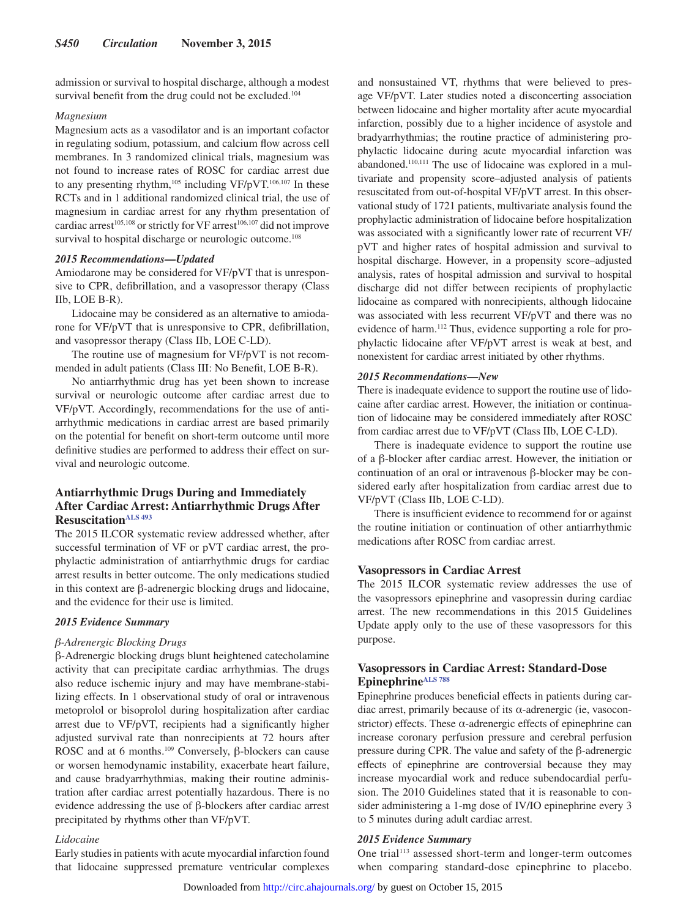admission or survival to hospital discharge, although a modest survival benefit from the drug could not be excluded.<sup>104</sup>

# *Magnesium*

Magnesium acts as a vasodilator and is an important cofactor in regulating sodium, potassium, and calcium flow across cell membranes. In 3 randomized clinical trials, magnesium was not found to increase rates of ROSC for cardiac arrest due to any presenting rhythm,<sup>105</sup> including VF/pVT.<sup>106,107</sup> In these RCTs and in 1 additional randomized clinical trial, the use of magnesium in cardiac arrest for any rhythm presentation of cardiac arrest<sup>105,108</sup> or strictly for VF arrest<sup>106,107</sup> did not improve survival to hospital discharge or neurologic outcome.<sup>108</sup>

### *2015 Recommendations—Updated*

Amiodarone may be considered for VF/pVT that is unresponsive to CPR, defibrillation, and a vasopressor therapy (Class IIb, LOE B-R).

Lidocaine may be considered as an alternative to amiodarone for VF/pVT that is unresponsive to CPR, defibrillation, and vasopressor therapy (Class IIb, LOE C-LD).

The routine use of magnesium for VF/pVT is not recommended in adult patients (Class III: No Benefit, LOE B-R).

No antiarrhythmic drug has yet been shown to increase survival or neurologic outcome after cardiac arrest due to VF/pVT. Accordingly, recommendations for the use of antiarrhythmic medications in cardiac arrest are based primarily on the potential for benefit on short-term outcome until more definitive studies are performed to address their effect on survival and neurologic outcome.

# **Antiarrhythmic Drugs During and Immediately After Cardiac Arrest: Antiarrhythmic Drugs After Resuscitatio[nALS 493](https://volunteer.heart.org/apps/pico/Pages/PublicComment.aspx?q=493)**

The 2015 ILCOR systematic review addressed whether, after successful termination of VF or pVT cardiac arrest, the prophylactic administration of antiarrhythmic drugs for cardiac arrest results in better outcome. The only medications studied in this context are β-adrenergic blocking drugs and lidocaine, and the evidence for their use is limited.

#### *2015 Evidence Summary*

# *β-Adrenergic Blocking Drugs*

β-Adrenergic blocking drugs blunt heightened catecholamine activity that can precipitate cardiac arrhythmias. The drugs also reduce ischemic injury and may have membrane-stabilizing effects. In 1 observational study of oral or intravenous metoprolol or bisoprolol during hospitalization after cardiac arrest due to VF/pVT, recipients had a significantly higher adjusted survival rate than nonrecipients at 72 hours after ROSC and at 6 months.<sup>109</sup> Conversely, β-blockers can cause or worsen hemodynamic instability, exacerbate heart failure, and cause bradyarrhythmias, making their routine administration after cardiac arrest potentially hazardous. There is no evidence addressing the use of β-blockers after cardiac arrest precipitated by rhythms other than VF/pVT.

#### *Lidocaine*

Early studies in patients with acute myocardial infarction found that lidocaine suppressed premature ventricular complexes

and nonsustained VT, rhythms that were believed to presage VF/pVT. Later studies noted a disconcerting association between lidocaine and higher mortality after acute myocardial infarction, possibly due to a higher incidence of asystole and bradyarrhythmias; the routine practice of administering prophylactic lidocaine during acute myocardial infarction was abandoned.<sup>110,111</sup> The use of lidocaine was explored in a multivariate and propensity score–adjusted analysis of patients resuscitated from out-of-hospital VF/pVT arrest. In this observational study of 1721 patients, multivariate analysis found the prophylactic administration of lidocaine before hospitalization was associated with a significantly lower rate of recurrent VF/ pVT and higher rates of hospital admission and survival to hospital discharge. However, in a propensity score–adjusted analysis, rates of hospital admission and survival to hospital discharge did not differ between recipients of prophylactic lidocaine as compared with nonrecipients, although lidocaine was associated with less recurrent VF/pVT and there was no evidence of harm.112 Thus, evidence supporting a role for prophylactic lidocaine after VF/pVT arrest is weak at best, and nonexistent for cardiac arrest initiated by other rhythms.

### *2015 Recommendations—New*

There is inadequate evidence to support the routine use of lidocaine after cardiac arrest. However, the initiation or continuation of lidocaine may be considered immediately after ROSC from cardiac arrest due to VF/pVT (Class IIb, LOE C-LD).

There is inadequate evidence to support the routine use of a β-blocker after cardiac arrest. However, the initiation or continuation of an oral or intravenous β-blocker may be considered early after hospitalization from cardiac arrest due to VF/pVT (Class IIb, LOE C-LD).

There is insufficient evidence to recommend for or against the routine initiation or continuation of other antiarrhythmic medications after ROSC from cardiac arrest.

# **Vasopressors in Cardiac Arrest**

The 2015 ILCOR systematic review addresses the use of the vasopressors epinephrine and vasopressin during cardiac arrest. The new recommendations in this 2015 Guidelines Update apply only to the use of these vasopressors for this purpose.

# **Vasopressors in Cardiac Arrest: Standard-Dose Epinephrin[eALS 788](https://volunteer.heart.org/apps/pico/Pages/PublicComment.aspx?q=788)**

Epinephrine produces beneficial effects in patients during cardiac arrest, primarily because of its  $\alpha$ -adrenergic (ie, vasoconstrictor) effects. These α-adrenergic effects of epinephrine can increase coronary perfusion pressure and cerebral perfusion pressure during CPR. The value and safety of the β-adrenergic effects of epinephrine are controversial because they may increase myocardial work and reduce subendocardial perfusion. The 2010 Guidelines stated that it is reasonable to consider administering a 1-mg dose of IV/IO epinephrine every 3 to 5 minutes during adult cardiac arrest.

# *2015 Evidence Summary*

One trial<sup>113</sup> assessed short-term and longer-term outcomes when comparing standard-dose epinephrine to placebo.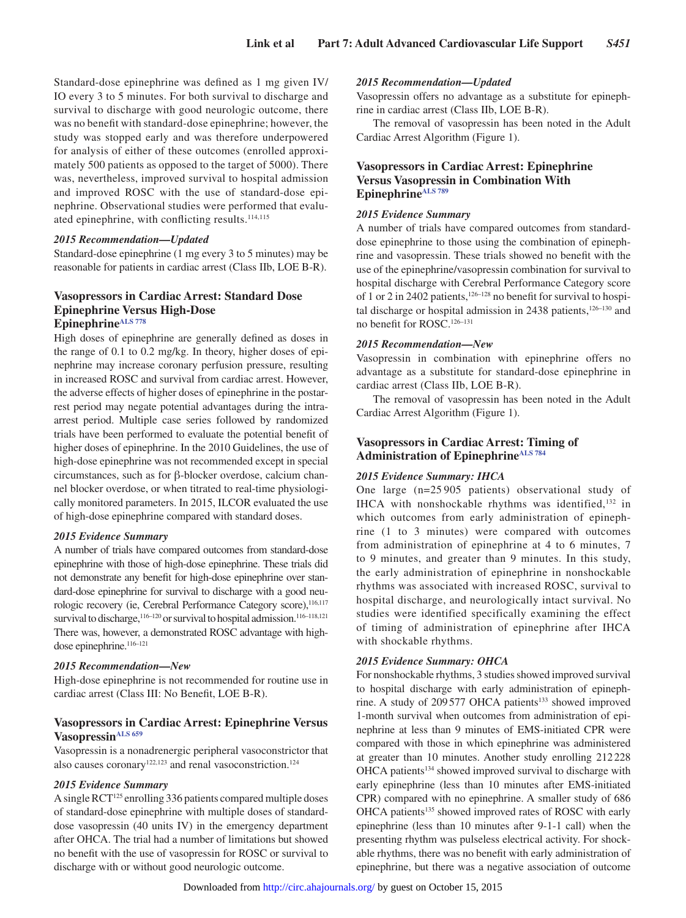Standard-dose epinephrine was defined as 1 mg given IV/ IO every 3 to 5 minutes. For both survival to discharge and survival to discharge with good neurologic outcome, there was no benefit with standard-dose epinephrine; however, the study was stopped early and was therefore underpowered for analysis of either of these outcomes (enrolled approximately 500 patients as opposed to the target of 5000). There was, nevertheless, improved survival to hospital admission and improved ROSC with the use of standard-dose epinephrine. Observational studies were performed that evaluated epinephrine, with conflicting results.<sup>114,115</sup>

### *2015 Recommendation—Updated*

Standard-dose epinephrine (1 mg every 3 to 5 minutes) may be reasonable for patients in cardiac arrest (Class IIb, LOE B-R).

# **Vasopressors in Cardiac Arrest: Standard Dose Epinephrine Versus High-Dose Epinephrin[eALS 778](https://volunteer.heart.org/apps/pico/Pages/PublicComment.aspx?q=778)**

High doses of epinephrine are generally defined as doses in the range of 0.1 to 0.2 mg/kg. In theory, higher doses of epinephrine may increase coronary perfusion pressure, resulting in increased ROSC and survival from cardiac arrest. However, the adverse effects of higher doses of epinephrine in the postarrest period may negate potential advantages during the intraarrest period. Multiple case series followed by randomized trials have been performed to evaluate the potential benefit of higher doses of epinephrine. In the 2010 Guidelines, the use of high-dose epinephrine was not recommended except in special circumstances, such as for β-blocker overdose, calcium channel blocker overdose, or when titrated to real-time physiologically monitored parameters. In 2015, ILCOR evaluated the use of high-dose epinephrine compared with standard doses.

#### *2015 Evidence Summary*

A number of trials have compared outcomes from standard-dose epinephrine with those of high-dose epinephrine. These trials did not demonstrate any benefit for high-dose epinephrine over standard-dose epinephrine for survival to discharge with a good neurologic recovery (ie, Cerebral Performance Category score), 116,117 survival to discharge,  $116-120$  or survival to hospital admission.  $116-118,121$ There was, however, a demonstrated ROSC advantage with highdose epinephrine.<sup>116-121</sup>

#### *2015 Recommendation—New*

High-dose epinephrine is not recommended for routine use in cardiac arrest (Class III: No Benefit, LOE B-R).

### **Vasopressors in Cardiac Arrest: Epinephrine Versus Vasopressi[nALS 659](https://volunteer.heart.org/apps/pico/Pages/PublicComment.aspx?q=659)**

Vasopressin is a nonadrenergic peripheral vasoconstrictor that also causes coronary<sup>122,123</sup> and renal vasoconstriction.<sup>124</sup>

# *2015 Evidence Summary*

A single RCT125 enrolling 336 patients compared multiple doses of standard-dose epinephrine with multiple doses of standarddose vasopressin (40 units IV) in the emergency department after OHCA. The trial had a number of limitations but showed no benefit with the use of vasopressin for ROSC or survival to discharge with or without good neurologic outcome.

#### *2015 Recommendation—Updated*

Vasopressin offers no advantage as a substitute for epinephrine in cardiac arrest (Class IIb, LOE B-R).

The removal of vasopressin has been noted in the Adult Cardiac Arrest Algorithm (Figure 1).

# **Vasopressors in Cardiac Arrest: Epinephrine Versus Vasopressin in Combination With Epinephrin[eALS 789](https://volunteer.heart.org/apps/pico/Pages/PublicComment.aspx?q=789)**

#### *2015 Evidence Summary*

A number of trials have compared outcomes from standarddose epinephrine to those using the combination of epinephrine and vasopressin. These trials showed no benefit with the use of the epinephrine/vasopressin combination for survival to hospital discharge with Cerebral Performance Category score of 1 or 2 in 2402 patients,<sup>126–128</sup> no benefit for survival to hospital discharge or hospital admission in 2438 patients, $126-130$  and no benefit for ROSC.126–131

#### *2015 Recommendation—New*

Vasopressin in combination with epinephrine offers no advantage as a substitute for standard-dose epinephrine in cardiac arrest (Class IIb, LOE B-R).

The removal of vasopressin has been noted in the Adult Cardiac Arrest Algorithm (Figure 1).

# **Vasopressors in Cardiac Arrest: Timing of Administration of Epinephrine[ALS 784](https://volunteer.heart.org/apps/pico/Pages/PublicComment.aspx?q=784)**

### *2015 Evidence Summary: IHCA*

One large (n=25 905 patients) observational study of IHCA with nonshockable rhythms was identified,<sup>132</sup> in which outcomes from early administration of epinephrine (1 to 3 minutes) were compared with outcomes from administration of epinephrine at 4 to 6 minutes, 7 to 9 minutes, and greater than 9 minutes. In this study, the early administration of epinephrine in nonshockable rhythms was associated with increased ROSC, survival to hospital discharge, and neurologically intact survival. No studies were identified specifically examining the effect of timing of administration of epinephrine after IHCA with shockable rhythms.

#### *2015 Evidence Summary: OHCA*

For nonshockable rhythms, 3 studies showed improved survival to hospital discharge with early administration of epinephrine. A study of 209577 OHCA patients<sup>133</sup> showed improved 1-month survival when outcomes from administration of epinephrine at less than 9 minutes of EMS-initiated CPR were compared with those in which epinephrine was administered at greater than 10 minutes. Another study enrolling 212228 OHCA patients<sup>134</sup> showed improved survival to discharge with early epinephrine (less than 10 minutes after EMS-initiated CPR) compared with no epinephrine. A smaller study of 686 OHCA patients<sup>135</sup> showed improved rates of ROSC with early epinephrine (less than 10 minutes after 9-1-1 call) when the presenting rhythm was pulseless electrical activity. For shockable rhythms, there was no benefit with early administration of epinephrine, but there was a negative association of outcome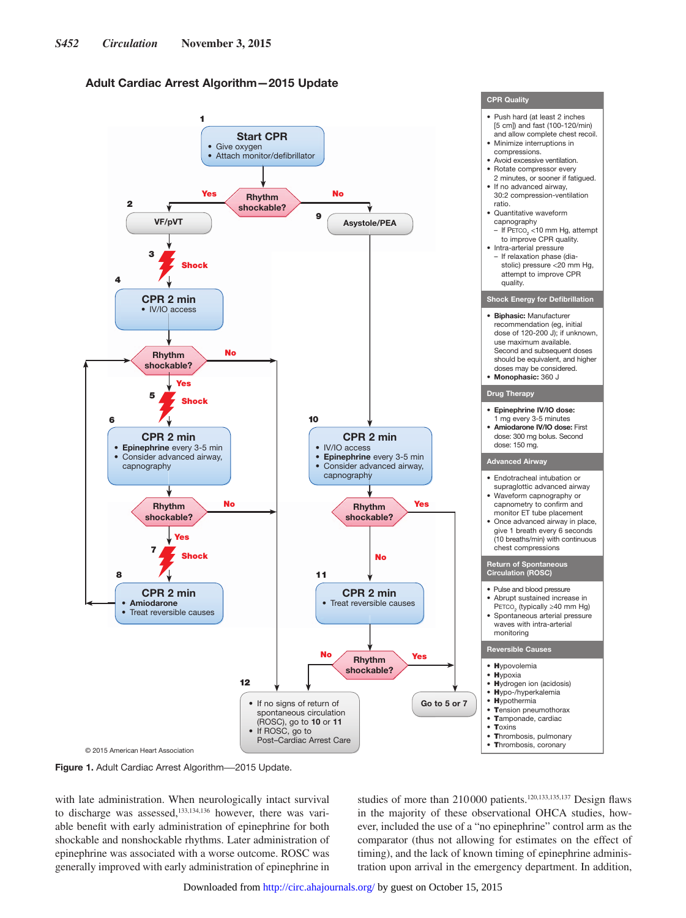# Adult Cardiac Arrest Algorithm—2015 Update





with late administration. When neurologically intact survival to discharge was assessed,133,134,136 however, there was variable benefit with early administration of epinephrine for both shockable and nonshockable rhythms. Later administration of epinephrine was associated with a worse outcome. ROSC was generally improved with early administration of epinephrine in studies of more than 210000 patients.<sup>120,133,135,137</sup> Design flaws in the majority of these observational OHCA studies, however, included the use of a "no epinephrine" control arm as the comparator (thus not allowing for estimates on the effect of timing), and the lack of known timing of epinephrine administration upon arrival in the emergency department. In addition,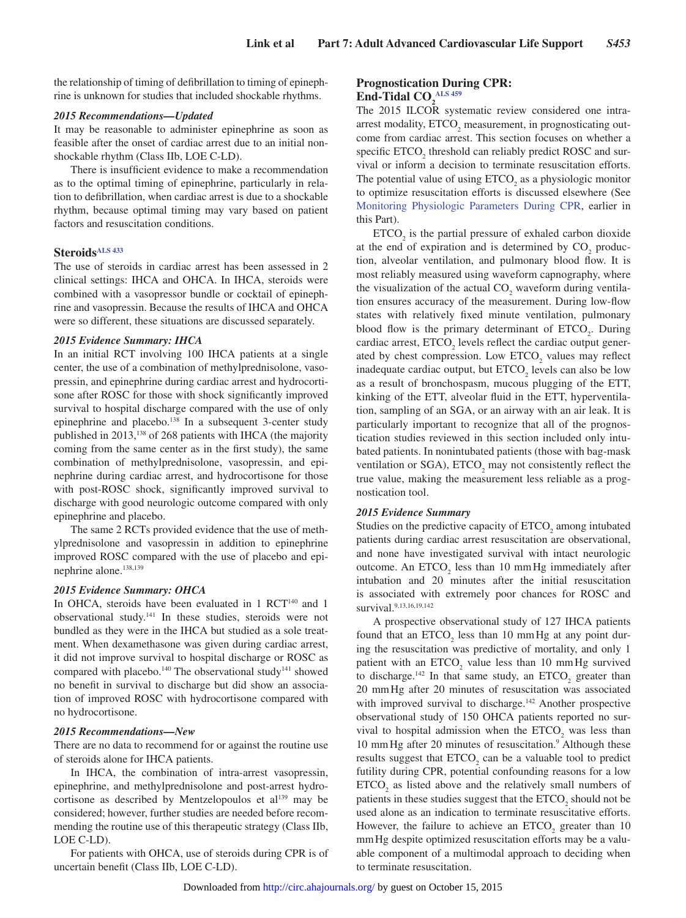the relationship of timing of defibrillation to timing of epinephrine is unknown for studies that included shockable rhythms.

#### *2015 Recommendations—Updated*

It may be reasonable to administer epinephrine as soon as feasible after the onset of cardiac arrest due to an initial nonshockable rhythm (Class IIb, LOE C-LD).

There is insufficient evidence to make a recommendation as to the optimal timing of epinephrine, particularly in relation to defibrillation, when cardiac arrest is due to a shockable rhythm, because optimal timing may vary based on patient factors and resuscitation conditions.

# **Steroids[ALS 433](https://volunteer.heart.org/apps/pico/Pages/PublicComment.aspx?q=433)**

The use of steroids in cardiac arrest has been assessed in 2 clinical settings: IHCA and OHCA. In IHCA, steroids were combined with a vasopressor bundle or cocktail of epinephrine and vasopressin. Because the results of IHCA and OHCA were so different, these situations are discussed separately.

#### *2015 Evidence Summary: IHCA*

In an initial RCT involving 100 IHCA patients at a single center, the use of a combination of methylprednisolone, vasopressin, and epinephrine during cardiac arrest and hydrocortisone after ROSC for those with shock significantly improved survival to hospital discharge compared with the use of only epinephrine and placebo.<sup>138</sup> In a subsequent 3-center study published in 2013,<sup>138</sup> of 268 patients with IHCA (the majority coming from the same center as in the first study), the same combination of methylprednisolone, vasopressin, and epinephrine during cardiac arrest, and hydrocortisone for those with post-ROSC shock, significantly improved survival to discharge with good neurologic outcome compared with only epinephrine and placebo.

The same 2 RCTs provided evidence that the use of methylprednisolone and vasopressin in addition to epinephrine improved ROSC compared with the use of placebo and epinephrine alone.<sup>138,139</sup>

#### *2015 Evidence Summary: OHCA*

In OHCA, steroids have been evaluated in 1 RCT<sup>140</sup> and 1 observational study.141 In these studies, steroids were not bundled as they were in the IHCA but studied as a sole treatment. When dexamethasone was given during cardiac arrest, it did not improve survival to hospital discharge or ROSC as compared with placebo.<sup>140</sup> The observational study<sup>141</sup> showed no benefit in survival to discharge but did show an association of improved ROSC with hydrocortisone compared with no hydrocortisone.

#### *2015 Recommendations—New*

There are no data to recommend for or against the routine use of steroids alone for IHCA patients.

In IHCA, the combination of intra-arrest vasopressin, epinephrine, and methylprednisolone and post-arrest hydrocortisone as described by Mentzelopoulos et al<sup>139</sup> may be considered; however, further studies are needed before recommending the routine use of this therapeutic strategy (Class IIb, LOE C-LD).

For patients with OHCA, use of steroids during CPR is of uncertain benefit (Class IIb, LOE C-LD).

# **Prognostication During CPR: End-Tidal CO<sub>2</sub>**<sup>[ALS 459](https://volunteer.heart.org/apps/pico/Pages/PublicComment.aspx?q=459)</sup>

The 2015 ILCOR systematic review considered one intraarrest modality,  $ETCO<sub>2</sub>$  measurement, in prognosticating outcome from cardiac arrest. This section focuses on whether a specific  $ETCO<sub>2</sub>$  threshold can reliably predict ROSC and survival or inform a decision to terminate resuscitation efforts. The potential value of using  $ETCO<sub>2</sub>$  as a physiologic monitor to optimize resuscitation efforts is discussed elsewhere (See [Monitoring Physiologic Parameters During CPR,](https://volunteer.heart.org/apps/pico/pages/question.aspx?questionid=656) earlier in this Part).

 $ETCO<sub>2</sub>$  is the partial pressure of exhaled carbon dioxide at the end of expiration and is determined by  $CO<sub>2</sub>$  production, alveolar ventilation, and pulmonary blood flow. It is most reliably measured using waveform capnography, where the visualization of the actual  $CO_2$  waveform during ventilation ensures accuracy of the measurement. During low-flow states with relatively fixed minute ventilation, pulmonary blood flow is the primary determinant of  $ETCO<sub>2</sub>$ . During cardiac arrest,  $ETCO<sub>2</sub>$  levels reflect the cardiac output generated by chest compression. Low  $ETCO<sub>2</sub>$  values may reflect inadequate cardiac output, but  $ETCO<sub>2</sub>$  levels can also be low as a result of bronchospasm, mucous plugging of the ETT, kinking of the ETT, alveolar fluid in the ETT, hyperventilation, sampling of an SGA, or an airway with an air leak. It is particularly important to recognize that all of the prognostication studies reviewed in this section included only intubated patients. In nonintubated patients (those with bag-mask ventilation or  $SGA$ ),  $ETCO<sub>2</sub>$  may not consistently reflect the true value, making the measurement less reliable as a prognostication tool.

#### *2015 Evidence Summary*

Studies on the predictive capacity of  $\text{ETCO}_2$  among intubated patients during cardiac arrest resuscitation are observational, and none have investigated survival with intact neurologic outcome. An  $ETCO<sub>2</sub>$  less than 10 mmHg immediately after intubation and 20 minutes after the initial resuscitation is associated with extremely poor chances for ROSC and survival.<sup>9,13,16,19,142</sup>

A prospective observational study of 127 IHCA patients found that an  $ETCO<sub>2</sub>$  less than 10 mm Hg at any point during the resuscitation was predictive of mortality, and only 1 patient with an  $ETCO<sub>2</sub>$  value less than 10 mmHg survived to discharge.<sup>142</sup> In that same study, an  $ETCO<sub>2</sub>$  greater than 20 mmHg after 20 minutes of resuscitation was associated with improved survival to discharge.<sup>142</sup> Another prospective observational study of 150 OHCA patients reported no survival to hospital admission when the  $ETCO<sub>2</sub>$  was less than 10 mmHg after 20 minutes of resuscitation.9 Although these results suggest that  $ETCO<sub>2</sub>$  can be a valuable tool to predict futility during CPR, potential confounding reasons for a low  $ETCO<sub>2</sub>$  as listed above and the relatively small numbers of patients in these studies suggest that the  $ETCO<sub>2</sub>$  should not be used alone as an indication to terminate resuscitative efforts. However, the failure to achieve an  $ETCO<sub>2</sub>$  greater than 10 mmHg despite optimized resuscitation efforts may be a valuable component of a multimodal approach to deciding when to terminate resuscitation.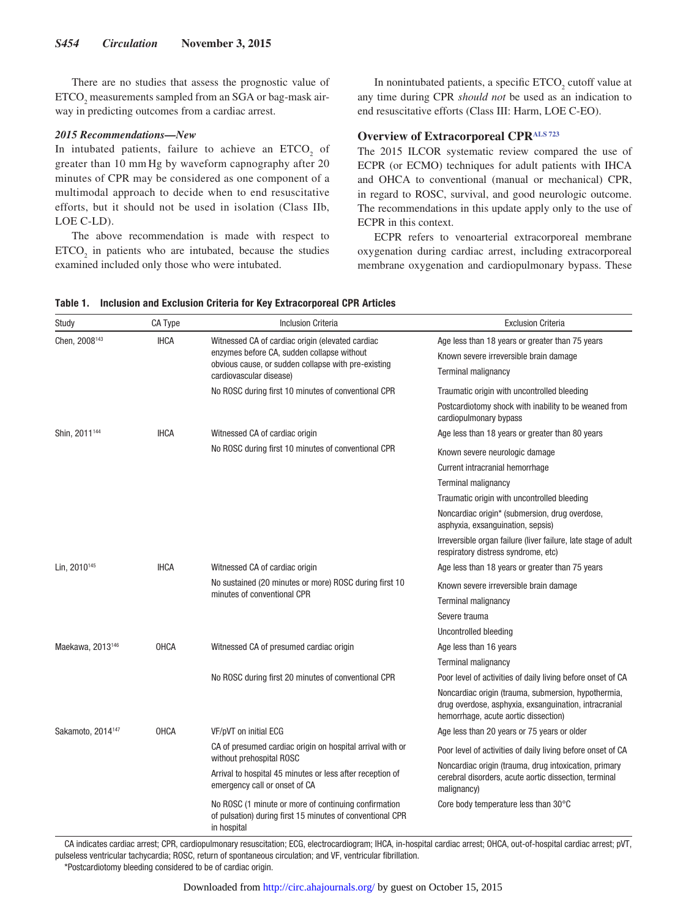There are no studies that assess the prognostic value of  $\mathrm{ETCO}_2$  measurements sampled from an SGA or bag-mask airway in predicting outcomes from a cardiac arrest.

### *2015 Recommendations—New*

In intubated patients, failure to achieve an  $ETCO<sub>2</sub>$  of greater than 10 mm Hg by waveform capnography after 20 minutes of CPR may be considered as one component of a multimodal approach to decide when to end resuscitative efforts, but it should not be used in isolation (Class IIb, LOE C-LD).

The above recommendation is made with respect to  $ETCO<sub>2</sub>$  in patients who are intubated, because the studies examined included only those who were intubated.

In nonintubated patients, a specific  $\text{ETCO}_2$  cutoff value at any time during CPR *should not* be used as an indication to end resuscitative efforts (Class III: Harm, LOE C-EO).

# **Overview of Extracorporeal CPR[ALS 723](https://volunteer.heart.org/apps/pico/Pages/PublicComment.aspx?q=723)**

The 2015 ILCOR systematic review compared the use of ECPR (or ECMO) techniques for adult patients with IHCA and OHCA to conventional (manual or mechanical) CPR, in regard to ROSC, survival, and good neurologic outcome. The recommendations in this update apply only to the use of ECPR in this context.

ECPR refers to venoarterial extracorporeal membrane oxygenation during cardiac arrest, including extracorporeal membrane oxygenation and cardiopulmonary bypass. These

| Study                         | CA Type     | <b>Inclusion Criteria</b>                                                                                                                                                        | <b>Exclusion Criteria</b>                                                                                                                            |                                                 |  |
|-------------------------------|-------------|----------------------------------------------------------------------------------------------------------------------------------------------------------------------------------|------------------------------------------------------------------------------------------------------------------------------------------------------|-------------------------------------------------|--|
| Chen, 2008 <sup>143</sup>     | <b>IHCA</b> | Witnessed CA of cardiac origin (elevated cardiac<br>enzymes before CA, sudden collapse without<br>obvious cause, or sudden collapse with pre-existing<br>cardiovascular disease) | Age less than 18 years or greater than 75 years<br>Known severe irreversible brain damage<br><b>Terminal malignancy</b>                              |                                                 |  |
|                               |             | No ROSC during first 10 minutes of conventional CPR                                                                                                                              | Traumatic origin with uncontrolled bleeding<br>Postcardiotomy shock with inability to be weaned from<br>cardiopulmonary bypass                       |                                                 |  |
| Shin, 2011 <sup>144</sup>     |             | <b>IHCA</b>                                                                                                                                                                      | Witnessed CA of cardiac origin                                                                                                                       | Age less than 18 years or greater than 80 years |  |
|                               |             | No ROSC during first 10 minutes of conventional CPR                                                                                                                              | Known severe neurologic damage                                                                                                                       |                                                 |  |
|                               |             |                                                                                                                                                                                  | Current intracranial hemorrhage                                                                                                                      |                                                 |  |
|                               |             |                                                                                                                                                                                  | <b>Terminal malignancy</b>                                                                                                                           |                                                 |  |
|                               |             |                                                                                                                                                                                  | Traumatic origin with uncontrolled bleeding                                                                                                          |                                                 |  |
|                               |             |                                                                                                                                                                                  | Noncardiac origin* (submersion, drug overdose,<br>asphyxia, exsanguination, sepsis)                                                                  |                                                 |  |
|                               |             |                                                                                                                                                                                  | Irreversible organ failure (liver failure, late stage of adult<br>respiratory distress syndrome, etc)                                                |                                                 |  |
| Lin, 2010 <sup>145</sup>      | <b>IHCA</b> | Witnessed CA of cardiac origin                                                                                                                                                   | Age less than 18 years or greater than 75 years                                                                                                      |                                                 |  |
|                               |             | No sustained (20 minutes or more) ROSC during first 10                                                                                                                           | Known severe irreversible brain damage                                                                                                               |                                                 |  |
|                               |             |                                                                                                                                                                                  | minutes of conventional CPR                                                                                                                          | <b>Terminal malignancy</b>                      |  |
|                               |             |                                                                                                                                                                                  | Severe trauma                                                                                                                                        |                                                 |  |
|                               |             |                                                                                                                                                                                  | Uncontrolled bleeding                                                                                                                                |                                                 |  |
| Maekawa, 2013 <sup>146</sup>  | <b>OHCA</b> | Witnessed CA of presumed cardiac origin                                                                                                                                          | Age less than 16 years                                                                                                                               |                                                 |  |
|                               |             |                                                                                                                                                                                  | <b>Terminal malignancy</b>                                                                                                                           |                                                 |  |
|                               |             | No ROSC during first 20 minutes of conventional CPR                                                                                                                              | Poor level of activities of daily living before onset of CA                                                                                          |                                                 |  |
|                               |             |                                                                                                                                                                                  | Noncardiac origin (trauma, submersion, hypothermia,<br>drug overdose, asphyxia, exsanguination, intracranial<br>hemorrhage, acute aortic dissection) |                                                 |  |
| Sakamoto, 2014 <sup>147</sup> | <b>OHCA</b> | VF/pVT on initial ECG                                                                                                                                                            | Age less than 20 years or 75 years or older                                                                                                          |                                                 |  |
|                               |             | CA of presumed cardiac origin on hospital arrival with or<br>without prehospital ROSC                                                                                            | Poor level of activities of daily living before onset of CA                                                                                          |                                                 |  |
|                               |             | Arrival to hospital 45 minutes or less after reception of<br>emergency call or onset of CA                                                                                       | Noncardiac origin (trauma, drug intoxication, primary<br>cerebral disorders, acute aortic dissection, terminal<br>malignancy)                        |                                                 |  |
|                               |             | No ROSC (1 minute or more of continuing confirmation<br>of pulsation) during first 15 minutes of conventional CPR<br>in hospital                                                 | Core body temperature less than 30°C                                                                                                                 |                                                 |  |

**Table 1. Inclusion and Exclusion Criteria for Key Extracorporeal CPR Articles**

CA indicates cardiac arrest; CPR, cardiopulmonary resuscitation; ECG, electrocardiogram; IHCA, in-hospital cardiac arrest; DHCA, out-of-hospital cardiac arrest; pVT, pulseless ventricular tachycardia; ROSC, return of spontaneous circulation; and VF, ventricular fibrillation. \*Postcardiotomy bleeding considered to be of cardiac origin.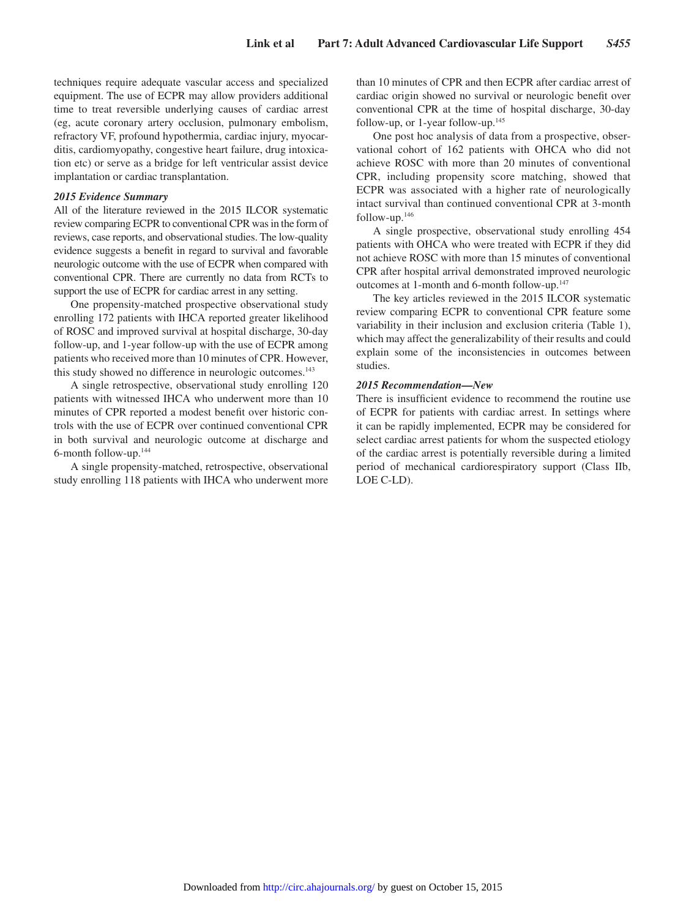techniques require adequate vascular access and specialized equipment. The use of ECPR may allow providers additional time to treat reversible underlying causes of cardiac arrest (eg, acute coronary artery occlusion, pulmonary embolism, refractory VF, profound hypothermia, cardiac injury, myocarditis, cardiomyopathy, congestive heart failure, drug intoxication etc) or serve as a bridge for left ventricular assist device implantation or cardiac transplantation.

#### *2015 Evidence Summary*

All of the literature reviewed in the 2015 ILCOR systematic review comparing ECPR to conventional CPR was in the form of reviews, case reports, and observational studies. The low-quality evidence suggests a benefit in regard to survival and favorable neurologic outcome with the use of ECPR when compared with conventional CPR. There are currently no data from RCTs to support the use of ECPR for cardiac arrest in any setting.

One propensity-matched prospective observational study enrolling 172 patients with IHCA reported greater likelihood of ROSC and improved survival at hospital discharge, 30-day follow-up, and 1-year follow-up with the use of ECPR among patients who received more than 10 minutes of CPR. However, this study showed no difference in neurologic outcomes.<sup>143</sup>

A single retrospective, observational study enrolling 120 patients with witnessed IHCA who underwent more than 10 minutes of CPR reported a modest benefit over historic controls with the use of ECPR over continued conventional CPR in both survival and neurologic outcome at discharge and 6-month follow-up.144

A single propensity-matched, retrospective, observational study enrolling 118 patients with IHCA who underwent more than 10 minutes of CPR and then ECPR after cardiac arrest of cardiac origin showed no survival or neurologic benefit over conventional CPR at the time of hospital discharge, 30-day follow-up, or 1-year follow-up.145

One post hoc analysis of data from a prospective, observational cohort of 162 patients with OHCA who did not achieve ROSC with more than 20 minutes of conventional CPR, including propensity score matching, showed that ECPR was associated with a higher rate of neurologically intact survival than continued conventional CPR at 3-month follow-up.146

A single prospective, observational study enrolling 454 patients with OHCA who were treated with ECPR if they did not achieve ROSC with more than 15 minutes of conventional CPR after hospital arrival demonstrated improved neurologic outcomes at 1-month and 6-month follow-up.<sup>147</sup>

The key articles reviewed in the 2015 ILCOR systematic review comparing ECPR to conventional CPR feature some variability in their inclusion and exclusion criteria (Table 1), which may affect the generalizability of their results and could explain some of the inconsistencies in outcomes between studies.

### *2015 Recommendation—New*

There is insufficient evidence to recommend the routine use of ECPR for patients with cardiac arrest. In settings where it can be rapidly implemented, ECPR may be considered for select cardiac arrest patients for whom the suspected etiology of the cardiac arrest is potentially reversible during a limited period of mechanical cardiorespiratory support (Class IIb, LOE C-LD).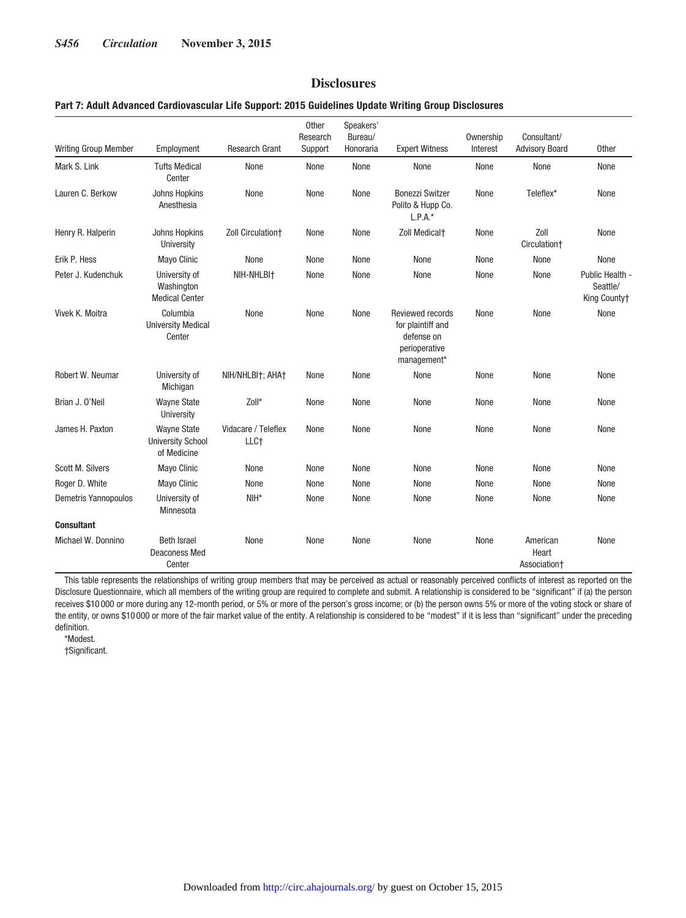# **Disclosures**

# **Part 7: Adult Advanced Cardiovascular Life Support: 2015 Guidelines Update Writing Group Disclosures**

| <b>Writing Group Member</b> | Employment                                                    | <b>Research Grant</b>                     | Other<br>Research<br>Support | Speakers'<br>Bureau/<br>Honoraria | <b>Expert Witness</b>                                                               | Ownership<br>Interest | Consultant/<br><b>Advisory Board</b> | <b>Other</b>                                |
|-----------------------------|---------------------------------------------------------------|-------------------------------------------|------------------------------|-----------------------------------|-------------------------------------------------------------------------------------|-----------------------|--------------------------------------|---------------------------------------------|
| Mark S. Link                | <b>Tufts Medical</b><br>Center                                | None                                      | None                         | None                              | None                                                                                | None                  | None                                 | None                                        |
| Lauren C. Berkow            | Johns Hopkins<br>Anesthesia                                   | None                                      | None                         | None                              | <b>Bonezzi Switzer</b><br>Polito & Hupp Co.<br>$L.P.A.*$                            | None                  | Teleflex*                            | None                                        |
| Henry R. Halperin           | Johns Hopkins<br>University                                   | Zoll Circulation+                         | None                         | None                              | <b>Zoll Medicalt</b>                                                                | None                  | Zoll<br>Circulation+                 | None                                        |
| Erik P. Hess                | <b>Mayo Clinic</b>                                            | None                                      | None                         | None                              | None                                                                                | None                  | None                                 | None                                        |
| Peter J. Kudenchuk          | University of<br>Washington<br><b>Medical Center</b>          | NIH-NHLBI <sup>+</sup>                    | None                         | None                              | None                                                                                | None                  | None                                 | Public Health -<br>Seattle/<br>King County+ |
| Vivek K. Moitra             | Columbia<br><b>University Medical</b><br>Center               | None                                      | None                         | None                              | Reviewed records<br>for plaintiff and<br>defense on<br>perioperative<br>management* | None                  | None                                 | None                                        |
| Robert W. Neumar            | University of<br>Michigan                                     | NIH/NHLBI <sup>+</sup> ; AHA <sup>+</sup> | None                         | None                              | None                                                                                | None                  | None                                 | None                                        |
| Brian J. O'Neil             | <b>Wayne State</b><br>University                              | Zoll*                                     | None                         | None                              | None                                                                                | None                  | None                                 | None                                        |
| James H. Paxton             | <b>Wayne State</b><br><b>University School</b><br>of Medicine | Vidacare / Teleflex<br>LLC <sup>+</sup>   | None                         | None                              | None                                                                                | None                  | None                                 | None                                        |
| Scott M. Silvers            | <b>Mayo Clinic</b>                                            | None                                      | None                         | None                              | None                                                                                | None                  | None                                 | None                                        |
| Roger D. White              | <b>Mayo Clinic</b>                                            | None                                      | None                         | None                              | None                                                                                | None                  | None                                 | None                                        |
| <b>Demetris Yannopoulos</b> | University of<br>Minnesota                                    | $NIH*$                                    | None                         | None                              | None                                                                                | None                  | None                                 | None                                        |
| <b>Consultant</b>           |                                                               |                                           |                              |                                   |                                                                                     |                       |                                      |                                             |
| Michael W. Donnino          | <b>Beth Israel</b><br><b>Deaconess Med</b><br>Center          | None                                      | None                         | None                              | None                                                                                | None                  | American<br>Heart<br>Association+    | None                                        |

This table represents the relationships of writing group members that may be perceived as actual or reasonably perceived conflicts of interest as reported on the Disclosure Questionnaire, which all members of the writing group are required to complete and submit. A relationship is considered to be "significant" if (a) the person receives \$10 000 or more during any 12-month period, or 5% or more of the person's gross income; or (b) the person owns 5% or more of the voting stock or share of the entity, or owns \$10 000 or more of the fair market value of the entity. A relationship is considered to be "modest" if it is less than "significant" under the preceding definition.

\*Modest.

†Significant.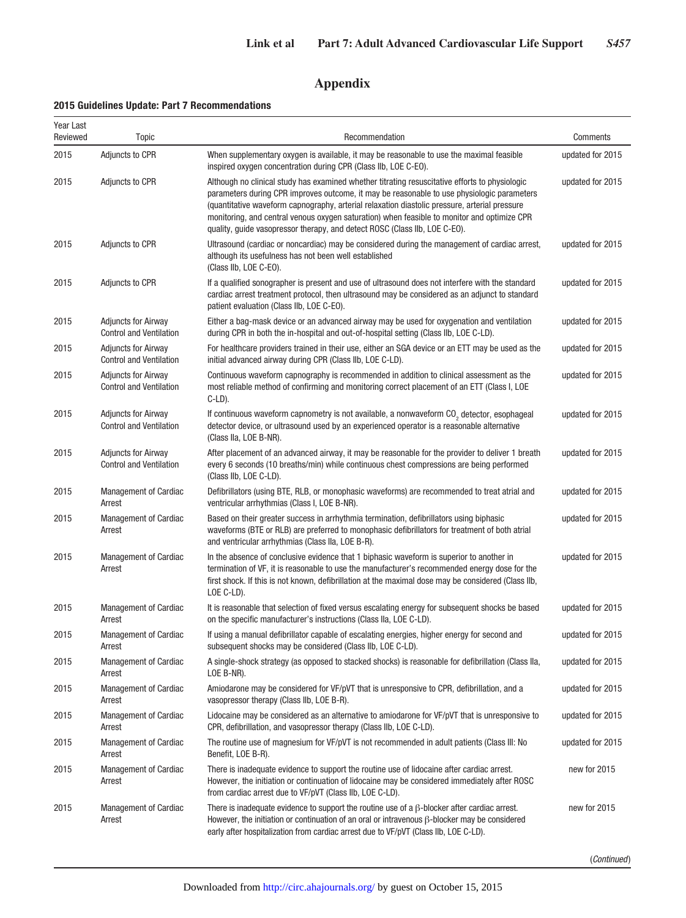# **Appendix**

# **2015 Guidelines Update: Part 7 Recommendations**

| Year Last<br>Reviewed | <b>Topic</b><br>Recommendation                               |                                                                                                                                                                                                                                                                                                                                                                                                                                                                            | Comments         |
|-----------------------|--------------------------------------------------------------|----------------------------------------------------------------------------------------------------------------------------------------------------------------------------------------------------------------------------------------------------------------------------------------------------------------------------------------------------------------------------------------------------------------------------------------------------------------------------|------------------|
| 2015                  | Adjuncts to CPR                                              | When supplementary oxygen is available, it may be reasonable to use the maximal feasible<br>inspired oxygen concentration during CPR (Class IIb, LOE C-EO).                                                                                                                                                                                                                                                                                                                | updated for 2015 |
| 2015                  | Adjuncts to CPR                                              | Although no clinical study has examined whether titrating resuscitative efforts to physiologic<br>parameters during CPR improves outcome, it may be reasonable to use physiologic parameters<br>(quantitative waveform capnography, arterial relaxation diastolic pressure, arterial pressure<br>monitoring, and central venous oxygen saturation) when feasible to monitor and optimize CPR<br>quality, guide vasopressor therapy, and detect ROSC (Class IIb, LOE C-EO). | updated for 2015 |
| 2015                  | Adjuncts to CPR                                              | Ultrasound (cardiac or noncardiac) may be considered during the management of cardiac arrest,<br>although its usefulness has not been well established<br>(Class IIb, LOE C-EO).                                                                                                                                                                                                                                                                                           | updated for 2015 |
| 2015                  | Adjuncts to CPR                                              | If a qualified sonographer is present and use of ultrasound does not interfere with the standard<br>cardiac arrest treatment protocol, then ultrasound may be considered as an adjunct to standard<br>patient evaluation (Class IIb, LOE C-EO).                                                                                                                                                                                                                            | updated for 2015 |
| 2015                  | <b>Adjuncts for Airway</b><br><b>Control and Ventilation</b> | Either a bag-mask device or an advanced airway may be used for oxygenation and ventilation<br>during CPR in both the in-hospital and out-of-hospital setting (Class IIb, LOE C-LD).                                                                                                                                                                                                                                                                                        | updated for 2015 |
| 2015                  | <b>Adjuncts for Airway</b><br><b>Control and Ventilation</b> | For healthcare providers trained in their use, either an SGA device or an ETT may be used as the<br>initial advanced airway during CPR (Class IIb, LOE C-LD).                                                                                                                                                                                                                                                                                                              | updated for 2015 |
| 2015                  | <b>Adjuncts for Airway</b><br><b>Control and Ventilation</b> | Continuous waveform capnography is recommended in addition to clinical assessment as the<br>most reliable method of confirming and monitoring correct placement of an ETT (Class I, LOE<br>$C-LD$ ).                                                                                                                                                                                                                                                                       | updated for 2015 |
| 2015                  | <b>Adjuncts for Airway</b><br><b>Control and Ventilation</b> | If continuous waveform capnometry is not available, a nonwaveform CO <sub>2</sub> detector, esophageal<br>detector device, or ultrasound used by an experienced operator is a reasonable alternative<br>(Class IIa, LOE B-NR).                                                                                                                                                                                                                                             | updated for 2015 |
| 2015                  | <b>Adjuncts for Airway</b><br><b>Control and Ventilation</b> | After placement of an advanced airway, it may be reasonable for the provider to deliver 1 breath<br>every 6 seconds (10 breaths/min) while continuous chest compressions are being performed<br>(Class IIb, LOE C-LD).                                                                                                                                                                                                                                                     | updated for 2015 |
| 2015                  | <b>Management of Cardiac</b><br>Arrest                       | Defibrillators (using BTE, RLB, or monophasic waveforms) are recommended to treat atrial and<br>ventricular arrhythmias (Class I, LOE B-NR).                                                                                                                                                                                                                                                                                                                               | updated for 2015 |
| 2015                  | <b>Management of Cardiac</b><br>Arrest                       | Based on their greater success in arrhythmia termination, defibrillators using biphasic<br>waveforms (BTE or RLB) are preferred to monophasic defibrillators for treatment of both atrial<br>and ventricular arrhythmias (Class IIa, LOE B-R).                                                                                                                                                                                                                             | updated for 2015 |
| 2015                  | <b>Management of Cardiac</b><br>Arrest                       | In the absence of conclusive evidence that 1 biphasic waveform is superior to another in<br>termination of VF, it is reasonable to use the manufacturer's recommended energy dose for the<br>first shock. If this is not known, defibrillation at the maximal dose may be considered (Class IIb,<br>LOE C-LD).                                                                                                                                                             | updated for 2015 |
| 2015                  | <b>Management of Cardiac</b><br>Arrest                       | It is reasonable that selection of fixed versus escalating energy for subsequent shocks be based<br>on the specific manufacturer's instructions (Class IIa, LOE C-LD).                                                                                                                                                                                                                                                                                                     | updated for 2015 |
| 2015                  | <b>Management of Cardiac</b><br>Arrest                       | If using a manual defibrillator capable of escalating energies, higher energy for second and<br>subsequent shocks may be considered (Class IIb, LOE C-LD).                                                                                                                                                                                                                                                                                                                 | updated for 2015 |
| 2015                  | Management of Cardiac<br>Arrest                              | A single-shock strategy (as opposed to stacked shocks) is reasonable for defibrillation (Class IIa,<br>LOE B-NR).                                                                                                                                                                                                                                                                                                                                                          | updated for 2015 |
| 2015                  | <b>Management of Cardiac</b><br>Arrest                       | Amiodarone may be considered for VF/pVT that is unresponsive to CPR, defibrillation, and a<br>vasopressor therapy (Class IIb, LOE B-R).                                                                                                                                                                                                                                                                                                                                    | updated for 2015 |
| 2015                  | <b>Management of Cardiac</b><br>Arrest                       | Lidocaine may be considered as an alternative to amiodarone for $VF/pVT$ that is unresponsive to<br>CPR, defibrillation, and vasopressor therapy (Class IIb, LOE C-LD).                                                                                                                                                                                                                                                                                                    | updated for 2015 |
| 2015                  | <b>Management of Cardiac</b><br>Arrest                       | The routine use of magnesium for VF/pVT is not recommended in adult patients (Class III: No<br>Benefit, LOE B-R).                                                                                                                                                                                                                                                                                                                                                          | updated for 2015 |
| 2015                  | <b>Management of Cardiac</b><br>Arrest                       | There is inadequate evidence to support the routine use of lidocaine after cardiac arrest.<br>However, the initiation or continuation of lidocaine may be considered immediately after ROSC<br>from cardiac arrest due to VF/pVT (Class IIb, LOE C-LD).                                                                                                                                                                                                                    | new for 2015     |
| 2015                  | <b>Management of Cardiac</b><br>Arrest                       | There is inadequate evidence to support the routine use of a $\beta$ -blocker after cardiac arrest.<br>However, the initiation or continuation of an oral or intravenous $\beta$ -blocker may be considered<br>early after hospitalization from cardiac arrest due to VF/pVT (Class IIb, LOE C-LD).                                                                                                                                                                        | new for 2015     |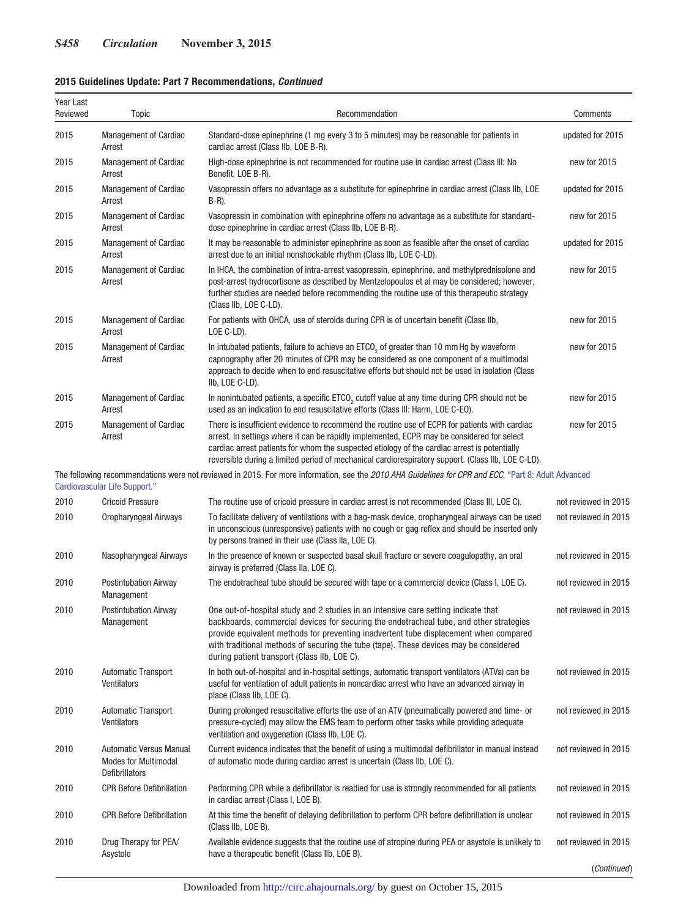# **2015 Guidelines Update: Part 7 Recommendations,** *Continued*

| Year Last<br>Reviewed | Topic                                                                    | Recommendation                                                                                                                                                                                                                                                                                                                                                                                                  | Comments             |
|-----------------------|--------------------------------------------------------------------------|-----------------------------------------------------------------------------------------------------------------------------------------------------------------------------------------------------------------------------------------------------------------------------------------------------------------------------------------------------------------------------------------------------------------|----------------------|
| 2015                  | <b>Management of Cardiac</b><br>Arrest                                   | Standard-dose epinephrine (1 mg every 3 to 5 minutes) may be reasonable for patients in<br>cardiac arrest (Class IIb, LOE B-R).                                                                                                                                                                                                                                                                                 | updated for 2015     |
| 2015                  | <b>Management of Cardiac</b><br>Arrest                                   | High-dose epinephrine is not recommended for routine use in cardiac arrest (Class III: No<br>Benefit, LOE B-R).                                                                                                                                                                                                                                                                                                 | new for 2015         |
| 2015                  | <b>Management of Cardiac</b><br>Arrest                                   | Vasopressin offers no advantage as a substitute for epinephrine in cardiac arrest (Class IIb, LOE<br>$B-R$ ).                                                                                                                                                                                                                                                                                                   | updated for 2015     |
| 2015                  | <b>Management of Cardiac</b><br>Arrest                                   | Vasopressin in combination with epinephrine offers no advantage as a substitute for standard-<br>dose epinephrine in cardiac arrest (Class IIb, LOE B-R).                                                                                                                                                                                                                                                       | new for 2015         |
| 2015                  | <b>Management of Cardiac</b><br>Arrest                                   | It may be reasonable to administer epinephrine as soon as feasible after the onset of cardiac<br>arrest due to an initial nonshockable rhythm (Class IIb, LOE C-LD).                                                                                                                                                                                                                                            | updated for 2015     |
| 2015                  | <b>Management of Cardiac</b><br>Arrest                                   | In IHCA, the combination of intra-arrest vasopressin, epinephrine, and methylprednisolone and<br>post-arrest hydrocortisone as described by Mentzelopoulos et al may be considered; however,<br>further studies are needed before recommending the routine use of this therapeutic strategy<br>(Class IIb, LOE C-LD).                                                                                           | new for 2015         |
| 2015                  | <b>Management of Cardiac</b><br>Arrest                                   | For patients with OHCA, use of steroids during CPR is of uncertain benefit (Class IIb,<br>LOE C-LD).                                                                                                                                                                                                                                                                                                            | new for 2015         |
| 2015                  | <b>Management of Cardiac</b><br>Arrest                                   | In intubated patients, failure to achieve an ETCO <sub>2</sub> of greater than 10 mm Hg by waveform<br>capnography after 20 minutes of CPR may be considered as one component of a multimodal<br>approach to decide when to end resuscitative efforts but should not be used in isolation (Class<br>IIb, LOE C-LD).                                                                                             | new for 2015         |
| 2015                  | <b>Management of Cardiac</b><br>Arrest                                   | In nonintubated patients, a specific ETCO, cutoff value at any time during CPR should not be<br>used as an indication to end resuscitative efforts (Class III: Harm, LOE C-EO).                                                                                                                                                                                                                                 | new for 2015         |
| 2015                  | <b>Management of Cardiac</b><br>Arrest                                   | There is insufficient evidence to recommend the routine use of ECPR for patients with cardiac<br>arrest. In settings where it can be rapidly implemented, ECPR may be considered for select<br>cardiac arrest patients for whom the suspected etiology of the cardiac arrest is potentially<br>reversible during a limited period of mechanical cardiorespiratory support. (Class IIb, LOE C-LD).               | new for 2015         |
|                       | Cardiovascular Life Support."                                            | The following recommendations were not reviewed in 2015. For more information, see the 2010 AHA Guidelines for CPR and ECC, "Part 8: Adult Advanced                                                                                                                                                                                                                                                             |                      |
| 2010                  | <b>Cricoid Pressure</b>                                                  | The routine use of cricoid pressure in cardiac arrest is not recommended (Class III, LOE C).                                                                                                                                                                                                                                                                                                                    | not reviewed in 2015 |
| 2010                  | Oropharyngeal Airways                                                    | To facilitate delivery of ventilations with a bag-mask device, oropharyngeal airways can be used<br>in unconscious (unresponsive) patients with no cough or gag reflex and should be inserted only<br>by persons trained in their use (Class IIa, LOE C).                                                                                                                                                       | not reviewed in 2015 |
| 2010                  | Nasopharyngeal Airways                                                   | In the presence of known or suspected basal skull fracture or severe coagulopathy, an oral<br>airway is preferred (Class IIa, LOE C).                                                                                                                                                                                                                                                                           | not reviewed in 2015 |
| 2010                  | <b>Postintubation Airway</b><br>Management                               | The endotracheal tube should be secured with tape or a commercial device (Class I, LOE C).                                                                                                                                                                                                                                                                                                                      | not reviewed in 2015 |
| 2010                  | <b>Postintubation Airway</b><br>Management                               | One out-of-hospital study and 2 studies in an intensive care setting indicate that<br>backboards, commercial devices for securing the endotracheal tube, and other strategies<br>provide equivalent methods for preventing inadvertent tube displacement when compared<br>with traditional methods of securing the tube (tape). These devices may be considered<br>during patient transport (Class IIb, LOE C). | not reviewed in 2015 |
| 2010                  | <b>Automatic Transport</b><br>Ventilators                                | In both out-of-hospital and in-hospital settings, automatic transport ventilators (ATVs) can be<br>useful for ventilation of adult patients in noncardiac arrest who have an advanced airway in<br>place (Class IIb, LOE C).                                                                                                                                                                                    | not reviewed in 2015 |
| 2010                  | <b>Automatic Transport</b><br>Ventilators                                | During prolonged resuscitative efforts the use of an ATV (pneumatically powered and time- or<br>pressure-cycled) may allow the EMS team to perform other tasks while providing adequate<br>ventilation and oxygenation (Class IIb, LOE C).                                                                                                                                                                      | not reviewed in 2015 |
| 2010                  | Automatic Versus Manual<br><b>Modes for Multimodal</b><br>Defibrillators | Current evidence indicates that the benefit of using a multimodal defibrillator in manual instead<br>of automatic mode during cardiac arrest is uncertain (Class IIb, LOE C).                                                                                                                                                                                                                                   | not reviewed in 2015 |
| 2010                  | <b>CPR Before Defibrillation</b>                                         | Performing CPR while a defibrillator is readied for use is strongly recommended for all patients<br>in cardiac arrest (Class I, LOE B).                                                                                                                                                                                                                                                                         | not reviewed in 2015 |
| 2010                  | <b>CPR Before Defibrillation</b>                                         | At this time the benefit of delaying defibrillation to perform CPR before defibrillation is unclear<br>(Class IIb, LOE B).                                                                                                                                                                                                                                                                                      | not reviewed in 2015 |
| 2010                  | Drug Therapy for PEA/<br>Asystole                                        | Available evidence suggests that the routine use of atropine during PEA or asystole is unlikely to<br>have a therapeutic benefit (Class IIb, LOE B).                                                                                                                                                                                                                                                            | not reviewed in 2015 |
|                       |                                                                          |                                                                                                                                                                                                                                                                                                                                                                                                                 | (Continued)          |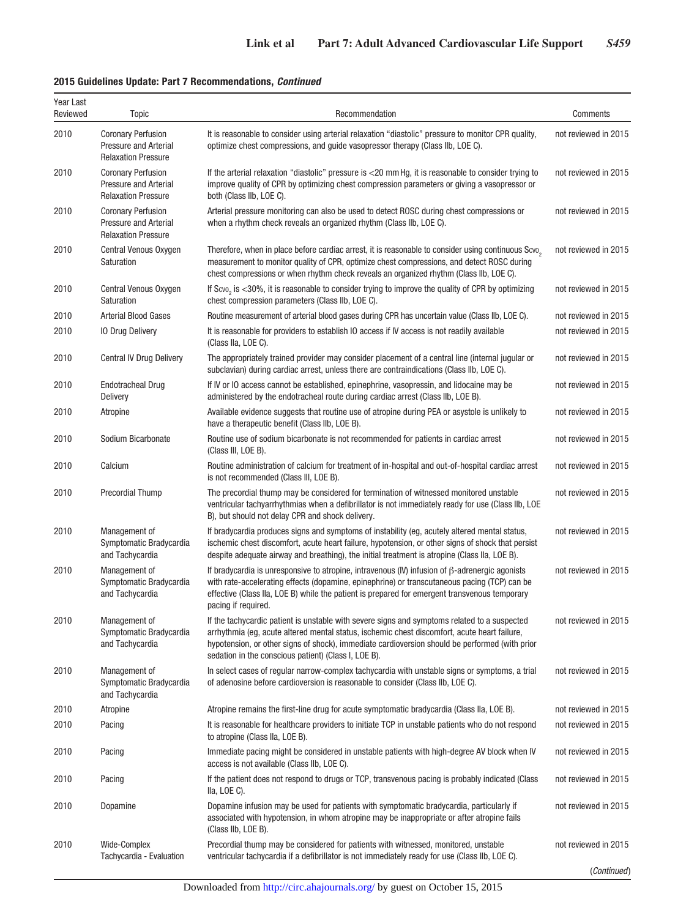# **2015 Guidelines Update: Part 7 Recommendations,** *Continued*

| Year Last<br>Reviewed | Topic                                                                                   | Recommendation                                                                                                                                                                                                                                                                                                                                         | Comments             |
|-----------------------|-----------------------------------------------------------------------------------------|--------------------------------------------------------------------------------------------------------------------------------------------------------------------------------------------------------------------------------------------------------------------------------------------------------------------------------------------------------|----------------------|
| 2010                  | <b>Coronary Perfusion</b><br><b>Pressure and Arterial</b><br><b>Relaxation Pressure</b> | It is reasonable to consider using arterial relaxation "diastolic" pressure to monitor CPR quality,<br>optimize chest compressions, and guide vasopressor therapy (Class IIb, LOE C).                                                                                                                                                                  | not reviewed in 2015 |
| 2010                  | <b>Coronary Perfusion</b><br><b>Pressure and Arterial</b><br><b>Relaxation Pressure</b> | If the arterial relaxation "diastolic" pressure is <20 mm Hg, it is reasonable to consider trying to<br>improve quality of CPR by optimizing chest compression parameters or giving a vasopressor or<br>both (Class IIb, LOE C).                                                                                                                       | not reviewed in 2015 |
| 2010                  | <b>Coronary Perfusion</b><br><b>Pressure and Arterial</b><br><b>Relaxation Pressure</b> | Arterial pressure monitoring can also be used to detect ROSC during chest compressions or<br>when a rhythm check reveals an organized rhythm (Class IIb, LOE C).                                                                                                                                                                                       | not reviewed in 2015 |
| 2010                  | Central Venous Oxygen<br>Saturation                                                     | Therefore, when in place before cardiac arrest, it is reasonable to consider using continuous Scvo,<br>measurement to monitor quality of CPR, optimize chest compressions, and detect ROSC during<br>chest compressions or when rhythm check reveals an organized rhythm (Class IIb, LOE C).                                                           | not reviewed in 2015 |
| 2010                  | Central Venous Oxygen<br>Saturation                                                     | If Scvo <sub>2</sub> is <30%, it is reasonable to consider trying to improve the quality of CPR by optimizing<br>chest compression parameters (Class IIb, LOE C).                                                                                                                                                                                      | not reviewed in 2015 |
| 2010                  | <b>Arterial Blood Gases</b>                                                             | Routine measurement of arterial blood gases during CPR has uncertain value (Class IIb, LOE C).                                                                                                                                                                                                                                                         | not reviewed in 2015 |
| 2010                  | <b>10 Drug Delivery</b>                                                                 | It is reasonable for providers to establish IO access if IV access is not readily available<br>(Class IIa, LOE C).                                                                                                                                                                                                                                     | not reviewed in 2015 |
| 2010                  | <b>Central IV Drug Delivery</b>                                                         | The appropriately trained provider may consider placement of a central line (internal jugular or<br>subclavian) during cardiac arrest, unless there are contraindications (Class IIb, LOE C).                                                                                                                                                          | not reviewed in 2015 |
| 2010                  | <b>Endotracheal Drug</b><br>Delivery                                                    | If IV or IO access cannot be established, epinephrine, vasopressin, and lidocaine may be<br>administered by the endotracheal route during cardiac arrest (Class IIb, LOE B).                                                                                                                                                                           | not reviewed in 2015 |
| 2010                  | Atropine                                                                                | Available evidence suggests that routine use of atropine during PEA or asystole is unlikely to<br>have a therapeutic benefit (Class IIb, LOE B).                                                                                                                                                                                                       | not reviewed in 2015 |
| 2010                  | Sodium Bicarbonate                                                                      | Routine use of sodium bicarbonate is not recommended for patients in cardiac arrest<br>(Class III, LOE B).                                                                                                                                                                                                                                             | not reviewed in 2015 |
| 2010                  | Calcium                                                                                 | Routine administration of calcium for treatment of in-hospital and out-of-hospital cardiac arrest<br>is not recommended (Class III, LOE B).                                                                                                                                                                                                            | not reviewed in 2015 |
| 2010                  | Precordial Thump                                                                        | The precordial thump may be considered for termination of witnessed monitored unstable<br>ventricular tachyarrhythmias when a defibrillator is not immediately ready for use (Class IIb, LOE<br>B), but should not delay CPR and shock delivery.                                                                                                       | not reviewed in 2015 |
| 2010                  | Management of<br>Symptomatic Bradycardia<br>and Tachycardia                             | If bradycardia produces signs and symptoms of instability (eg, acutely altered mental status,<br>ischemic chest discomfort, acute heart failure, hypotension, or other signs of shock that persist<br>despite adequate airway and breathing), the initial treatment is atropine (Class IIa, LOE B).                                                    | not reviewed in 2015 |
| 2010                  | Management of<br>Symptomatic Bradycardia<br>and Tachycardia                             | If bradycardia is unresponsive to atropine, intravenous (IV) infusion of $\beta$ -adrenergic agonists<br>with rate-accelerating effects (dopamine, epinephrine) or transcutaneous pacing (TCP) can be<br>effective (Class IIa, LOE B) while the patient is prepared for emergent transvenous temporary<br>pacing if required.                          | not reviewed in 2015 |
| 2010                  | Management of<br>Symptomatic Bradycardia<br>and Tachycardia                             | If the tachycardic patient is unstable with severe signs and symptoms related to a suspected<br>arrhythmia (eg, acute altered mental status, ischemic chest discomfort, acute heart failure,<br>hypotension, or other signs of shock), immediate cardioversion should be performed (with prior<br>sedation in the conscious patient) (Class I, LOE B). | not reviewed in 2015 |
| 2010                  | Management of<br>Symptomatic Bradycardia<br>and Tachycardia                             | In select cases of regular narrow-complex tachycardia with unstable signs or symptoms, a trial<br>of adenosine before cardioversion is reasonable to consider (Class IIb, LOE C).                                                                                                                                                                      | not reviewed in 2015 |
| 2010                  | Atropine                                                                                | Atropine remains the first-line drug for acute symptomatic bradycardia (Class IIa, LOE B).                                                                                                                                                                                                                                                             | not reviewed in 2015 |
| 2010                  | Pacing                                                                                  | It is reasonable for healthcare providers to initiate TCP in unstable patients who do not respond<br>to atropine (Class IIa, LOE B).                                                                                                                                                                                                                   | not reviewed in 2015 |
| 2010                  | Pacing                                                                                  | Immediate pacing might be considered in unstable patients with high-degree AV block when IV<br>access is not available (Class IIb, LOE C).                                                                                                                                                                                                             | not reviewed in 2015 |
| 2010                  | Pacing                                                                                  | If the patient does not respond to drugs or TCP, transvenous pacing is probably indicated (Class<br>Ila, LOE C).                                                                                                                                                                                                                                       | not reviewed in 2015 |
| 2010                  | Dopamine                                                                                | Dopamine infusion may be used for patients with symptomatic bradycardia, particularly if<br>associated with hypotension, in whom atropine may be inappropriate or after atropine fails<br>(Class IIb, LOE B).                                                                                                                                          | not reviewed in 2015 |
| 2010                  | Wide-Complex<br>Tachycardia - Evaluation                                                | Precordial thump may be considered for patients with witnessed, monitored, unstable<br>ventricular tachycardia if a defibrillator is not immediately ready for use (Class IIb, LOE C).                                                                                                                                                                 | not reviewed in 2015 |
|                       |                                                                                         |                                                                                                                                                                                                                                                                                                                                                        | (Continued)          |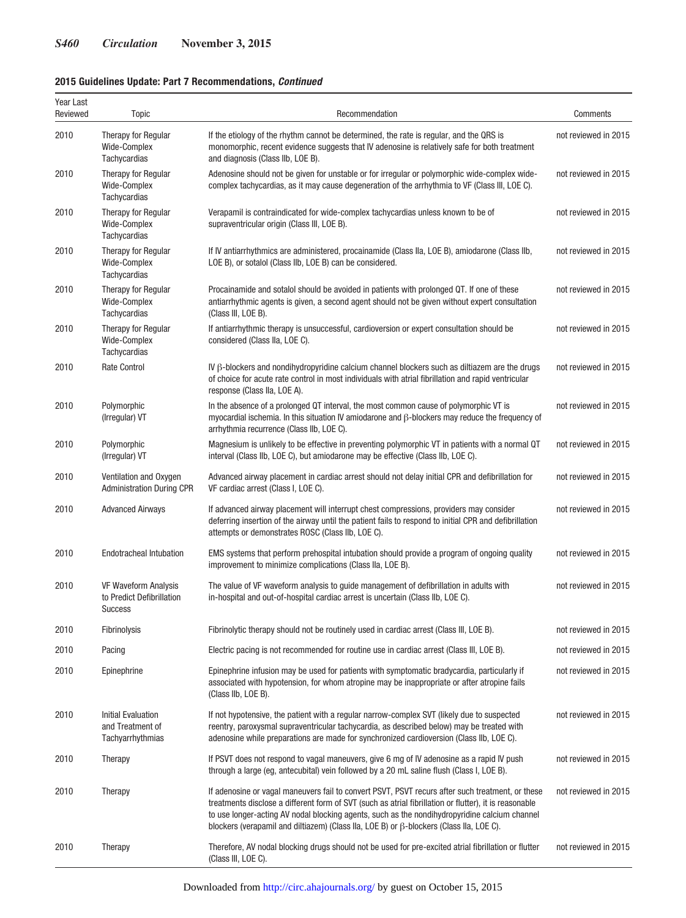# **2015 Guidelines Update: Part 7 Recommendations,** *Continued*

| Year Last<br>Reviewed | Topic                                                               | Recommendation                                                                                                                                                                                                                                                                                                                                                                                         | Comments             |
|-----------------------|---------------------------------------------------------------------|--------------------------------------------------------------------------------------------------------------------------------------------------------------------------------------------------------------------------------------------------------------------------------------------------------------------------------------------------------------------------------------------------------|----------------------|
| 2010                  | Therapy for Regular<br>Wide-Complex<br>Tachycardias                 | If the etiology of the rhythm cannot be determined, the rate is regular, and the QRS is<br>monomorphic, recent evidence suggests that IV adenosine is relatively safe for both treatment<br>and diagnosis (Class IIb, LOE B).                                                                                                                                                                          | not reviewed in 2015 |
| 2010                  | Therapy for Regular<br>Wide-Complex<br>Tachycardias                 | Adenosine should not be given for unstable or for irregular or polymorphic wide-complex wide-<br>complex tachycardias, as it may cause degeneration of the arrhythmia to VF (Class III, LOE C).                                                                                                                                                                                                        | not reviewed in 2015 |
| 2010                  | Therapy for Regular<br>Wide-Complex<br>Tachycardias                 | Verapamil is contraindicated for wide-complex tachycardias unless known to be of<br>supraventricular origin (Class III, LOE B).                                                                                                                                                                                                                                                                        | not reviewed in 2015 |
| 2010                  | Therapy for Regular<br>Wide-Complex<br>Tachycardias                 | If IV antiarrhythmics are administered, procainamide (Class IIa, LOE B), amiodarone (Class IIb,<br>LOE B), or sotalol (Class IIb, LOE B) can be considered.                                                                                                                                                                                                                                            | not reviewed in 2015 |
| 2010                  | Therapy for Regular<br>Wide-Complex<br>Tachycardias                 | Procainamide and sotalol should be avoided in patients with prolonged QT. If one of these<br>antiarrhythmic agents is given, a second agent should not be given without expert consultation<br>(Class III, LOE B).                                                                                                                                                                                     | not reviewed in 2015 |
| 2010                  | Therapy for Regular<br>Wide-Complex<br>Tachycardias                 | If antiarrhythmic therapy is unsuccessful, cardioversion or expert consultation should be<br>considered (Class IIa, LOE C).                                                                                                                                                                                                                                                                            | not reviewed in 2015 |
| 2010                  | <b>Rate Control</b>                                                 | IV $\beta$ -blockers and nondihydropyridine calcium channel blockers such as diltiazem are the drugs<br>of choice for acute rate control in most individuals with atrial fibrillation and rapid ventricular<br>response (Class IIa, LOE A).                                                                                                                                                            | not reviewed in 2015 |
| 2010                  | Polymorphic<br>(Irregular) VT                                       | In the absence of a prolonged QT interval, the most common cause of polymorphic VT is<br>myocardial ischemia. In this situation IV amiodarone and ß-blockers may reduce the frequency of<br>arrhythmia recurrence (Class IIb, LOE C).                                                                                                                                                                  | not reviewed in 2015 |
| 2010                  | Polymorphic<br>(Irregular) VT                                       | Magnesium is unlikely to be effective in preventing polymorphic VT in patients with a normal QT<br>interval (Class IIb, LOE C), but amiodarone may be effective (Class IIb, LOE C).                                                                                                                                                                                                                    | not reviewed in 2015 |
| 2010                  | Ventilation and Oxygen<br><b>Administration During CPR</b>          | Advanced airway placement in cardiac arrest should not delay initial CPR and defibrillation for<br>VF cardiac arrest (Class I, LOE C).                                                                                                                                                                                                                                                                 | not reviewed in 2015 |
| 2010                  | <b>Advanced Airways</b>                                             | If advanced airway placement will interrupt chest compressions, providers may consider<br>deferring insertion of the airway until the patient fails to respond to initial CPR and defibrillation<br>attempts or demonstrates ROSC (Class IIb, LOE C).                                                                                                                                                  | not reviewed in 2015 |
| 2010                  | Endotracheal Intubation                                             | EMS systems that perform prehospital intubation should provide a program of ongoing quality<br>improvement to minimize complications (Class IIa, LOE B).                                                                                                                                                                                                                                               | not reviewed in 2015 |
| 2010                  | VF Waveform Analysis<br>to Predict Defibrillation<br><b>Success</b> | The value of VF waveform analysis to guide management of defibrillation in adults with<br>in-hospital and out-of-hospital cardiac arrest is uncertain (Class IIb, LOE C).                                                                                                                                                                                                                              | not reviewed in 2015 |
| 2010                  | Fibrinolysis                                                        | Fibrinolytic therapy should not be routinely used in cardiac arrest (Class III, LOE B).                                                                                                                                                                                                                                                                                                                | not reviewed in 2015 |
| 2010                  | Pacing                                                              | Electric pacing is not recommended for routine use in cardiac arrest (Class III, LOE B).                                                                                                                                                                                                                                                                                                               | not reviewed in 2015 |
| 2010                  | Epinephrine                                                         | Epinephrine infusion may be used for patients with symptomatic bradycardia, particularly if<br>associated with hypotension, for whom atropine may be inappropriate or after atropine fails<br>(Class IIb, LOE B).                                                                                                                                                                                      | not reviewed in 2015 |
| 2010                  | <b>Initial Evaluation</b><br>and Treatment of<br>Tachyarrhythmias   | If not hypotensive, the patient with a regular narrow-complex SVT (likely due to suspected<br>reentry, paroxysmal supraventricular tachycardia, as described below) may be treated with<br>adenosine while preparations are made for synchronized cardioversion (Class IIb, LOE C).                                                                                                                    | not reviewed in 2015 |
| 2010                  | Therapy                                                             | If PSVT does not respond to vagal maneuvers, give 6 mg of IV adenosine as a rapid IV push<br>through a large (eg, antecubital) vein followed by a 20 mL saline flush (Class I, LOE B).                                                                                                                                                                                                                 | not reviewed in 2015 |
| 2010                  | Therapy                                                             | If adenosine or vagal maneuvers fail to convert PSVT, PSVT recurs after such treatment, or these<br>treatments disclose a different form of SVT (such as atrial fibrillation or flutter), it is reasonable<br>to use longer-acting AV nodal blocking agents, such as the nondihydropyridine calcium channel<br>blockers (verapamil and diltiazem) (Class IIa, LOE B) or β-blockers (Class IIa, LOE C). | not reviewed in 2015 |
| 2010                  | Therapy                                                             | Therefore, AV nodal blocking drugs should not be used for pre-excited atrial fibrillation or flutter<br>(Class III, LOE C).                                                                                                                                                                                                                                                                            | not reviewed in 2015 |

Downloaded from<http://circ.ahajournals.org/>by guest on October 15, 2015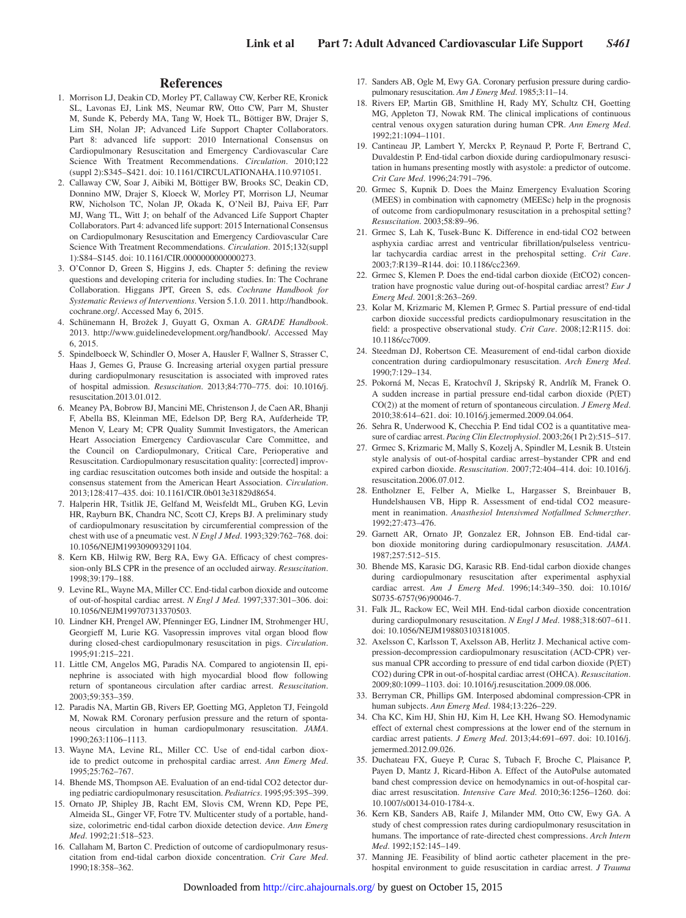#### **References**

- 1. Morrison LJ, Deakin CD, Morley PT, Callaway CW, Kerber RE, Kronick SL, Lavonas EJ, Link MS, Neumar RW, Otto CW, Parr M, Shuster M, Sunde K, Peberdy MA, Tang W, Hoek TL, Böttiger BW, Drajer S, Lim SH, Nolan JP; Advanced Life Support Chapter Collaborators. Part 8: advanced life support: 2010 International Consensus on Cardiopulmonary Resuscitation and Emergency Cardiovascular Care Science With Treatment Recommendations. *Circulation*. 2010;122 (suppl 2):S345–S421. doi: 10.1161/CIRCULATIONAHA.110.971051.
- 2. Callaway CW, Soar J, Aibiki M, Böttiger BW, Brooks SC, Deakin CD, Donnino MW, Drajer S, Kloeck W, Morley PT, Morrison LJ, Neumar RW, Nicholson TC, Nolan JP, Okada K, O'Neil BJ, Paiva EF, Parr MJ, Wang TL, Witt J; on behalf of the Advanced Life Support Chapter Collaborators. Part 4: advanced life support: 2015 International Consensus on Cardiopulmonary Resuscitation and Emergency Cardiovascular Care Science With Treatment Recommendations. *Circulation*. 2015;132(suppl 1):S84–S145. doi: 10.1161/CIR.0000000000000273.
- 3. O'Connor D, Green S, Higgins J, eds. Chapter 5: defining the review questions and developing criteria for including studies. In: The Cochrane Collaboration. Higgans JPT, Green S, eds. *Cochrane Handbook for Systematic Reviews of Interventions*. Version 5.1.0. 2011. [http://handbook.](http://www.handbook.cochrane.org/) [cochrane.org/](http://www.handbook.cochrane.org/). Accessed May 6, 2015.
- 4. Schünemann H, Brożek J, Guyatt G, Oxman A. *GRADE Handbook*. 2013. [http://www.guidelinedevelopment.org/handbook/.](http://www.guidelinedevelopment.org/handbook/) Accessed May 6, 2015.
- 5. Spindelboeck W, Schindler O, Moser A, Hausler F, Wallner S, Strasser C, Haas J, Gemes G, Prause G. Increasing arterial oxygen partial pressure during cardiopulmonary resuscitation is associated with improved rates of hospital admission. *Resuscitation*. 2013;84:770–775. doi: 10.1016/j. resuscitation.2013.01.012.
- 6. Meaney PA, Bobrow BJ, Mancini ME, Christenson J, de Caen AR, Bhanji F, Abella BS, Kleinman ME, Edelson DP, Berg RA, Aufderheide TP, Menon V, Leary M; CPR Quality Summit Investigators, the American Heart Association Emergency Cardiovascular Care Committee, and the Council on Cardiopulmonary, Critical Care, Perioperative and Resuscitation. Cardiopulmonary resuscitation quality: [corrected] improving cardiac resuscitation outcomes both inside and outside the hospital: a consensus statement from the American Heart Association. *Circulation*. 2013;128:417–435. doi: 10.1161/CIR.0b013e31829d8654.
- 7. Halperin HR, Tsitlik JE, Gelfand M, Weisfeldt ML, Gruben KG, Levin HR, Rayburn BK, Chandra NC, Scott CJ, Kreps BJ. A preliminary study of cardiopulmonary resuscitation by circumferential compression of the chest with use of a pneumatic vest. *N Engl J Med*. 1993;329:762–768. doi: 10.1056/NEJM199309093291104.
- Kern KB, Hilwig RW, Berg RA, Ewy GA. Efficacy of chest compression-only BLS CPR in the presence of an occluded airway. *Resuscitation*. 1998;39:179–188.
- 9. Levine RL, Wayne MA, Miller CC. End-tidal carbon dioxide and outcome of out-of-hospital cardiac arrest. *N Engl J Med*. 1997;337:301–306. doi: 10.1056/NEJM199707313370503.
- 10. Lindner KH, Prengel AW, Pfenninger EG, Lindner IM, Strohmenger HU, Georgieff M, Lurie KG. Vasopressin improves vital organ blood flow during closed-chest cardiopulmonary resuscitation in pigs. *Circulation*. 1995;91:215–221.
- 11. Little CM, Angelos MG, Paradis NA. Compared to angiotensin II, epinephrine is associated with high myocardial blood flow following return of spontaneous circulation after cardiac arrest. *Resuscitation*. 2003;59:353–359.
- 12. Paradis NA, Martin GB, Rivers EP, Goetting MG, Appleton TJ, Feingold M, Nowak RM. Coronary perfusion pressure and the return of spontaneous circulation in human cardiopulmonary resuscitation. *JAMA*. 1990;263:1106–1113.
- 13. Wayne MA, Levine RL, Miller CC. Use of end-tidal carbon dioxide to predict outcome in prehospital cardiac arrest. *Ann Emerg Med*. 1995;25:762–767.
- 14. Bhende MS, Thompson AE. Evaluation of an end-tidal CO2 detector during pediatric cardiopulmonary resuscitation. *Pediatrics*. 1995;95:395–399.
- 15. Ornato JP, Shipley JB, Racht EM, Slovis CM, Wrenn KD, Pepe PE, Almeida SL, Ginger VF, Fotre TV. Multicenter study of a portable, handsize, colorimetric end-tidal carbon dioxide detection device. *Ann Emerg Med*. 1992;21:518–523.
- 16. Callaham M, Barton C. Prediction of outcome of cardiopulmonary resuscitation from end-tidal carbon dioxide concentration. *Crit Care Med*. 1990;18:358–362.
- 17. Sanders AB, Ogle M, Ewy GA. Coronary perfusion pressure during cardiopulmonary resuscitation. *Am J Emerg Med*. 1985;3:11–14.
- 18. Rivers EP, Martin GB, Smithline H, Rady MY, Schultz CH, Goetting MG, Appleton TJ, Nowak RM. The clinical implications of continuous central venous oxygen saturation during human CPR. *Ann Emerg Med*. 1992;21:1094–1101.
- 19. Cantineau JP, Lambert Y, Merckx P, Reynaud P, Porte F, Bertrand C, Duvaldestin P. End-tidal carbon dioxide during cardiopulmonary resuscitation in humans presenting mostly with asystole: a predictor of outcome. *Crit Care Med*. 1996;24:791–796.
- 20. Grmec S, Kupnik D. Does the Mainz Emergency Evaluation Scoring (MEES) in combination with capnometry (MEESc) help in the prognosis of outcome from cardiopulmonary resuscitation in a prehospital setting? *Resuscitation*. 2003;58:89–96.
- 21. Grmec S, Lah K, Tusek-Bunc K. Difference in end-tidal CO2 between asphyxia cardiac arrest and ventricular fibrillation/pulseless ventricular tachycardia cardiac arrest in the prehospital setting. *Crit Care*. 2003;7:R139–R144. doi: 10.1186/cc2369.
- 22. Grmec S, Klemen P. Does the end-tidal carbon dioxide (EtCO2) concentration have prognostic value during out-of-hospital cardiac arrest? *Eur J Emerg Med*. 2001;8:263–269.
- 23. Kolar M, Krizmaric M, Klemen P, Grmec S. Partial pressure of end-tidal carbon dioxide successful predicts cardiopulmonary resuscitation in the field: a prospective observational study. *Crit Care*. 2008;12:R115. doi: 10.1186/cc7009.
- 24. Steedman DJ, Robertson CE. Measurement of end-tidal carbon dioxide concentration during cardiopulmonary resuscitation. *Arch Emerg Med*. 1990;7:129–134.
- 25. Pokorná M, Necas E, Kratochvíl J, Skripský R, Andrlík M, Franek O. A sudden increase in partial pressure end-tidal carbon dioxide (P(ET) CO(2)) at the moment of return of spontaneous circulation. *J Emerg Med*. 2010;38:614–621. doi: 10.1016/j.jemermed.2009.04.064.
- 26. Sehra R, Underwood K, Checchia P. End tidal CO2 is a quantitative measure of cardiac arrest. *Pacing Clin Electrophysiol*. 2003;26(1 Pt 2):515–517.
- 27. Grmec S, Krizmaric M, Mally S, Kozelj A, Spindler M, Lesnik B. Utstein style analysis of out-of-hospital cardiac arrest–bystander CPR and end expired carbon dioxide. *Resuscitation*. 2007;72:404–414. doi: 10.1016/j. resuscitation.2006.07.012.
- 28. Entholzner E, Felber A, Mielke L, Hargasser S, Breinbauer B, Hundelshausen VB, Hipp R. Assessment of end-tidal CO2 measurement in reanimation. *Anasthesiol Intensivmed Notfallmed Schmerzther*. 1992;27:473–476.
- 29. Garnett AR, Ornato JP, Gonzalez ER, Johnson EB. End-tidal carbon dioxide monitoring during cardiopulmonary resuscitation. *JAMA*. 1987;257:512–515.
- 30. Bhende MS, Karasic DG, Karasic RB. End-tidal carbon dioxide changes during cardiopulmonary resuscitation after experimental asphyxial cardiac arrest. *Am J Emerg Med*. 1996;14:349–350. doi: 10.1016/ S0735-6757(96)90046-7.
- 31. Falk JL, Rackow EC, Weil MH. End-tidal carbon dioxide concentration during cardiopulmonary resuscitation. *N Engl J Med*. 1988;318:607–611. doi: 10.1056/NEJM198803103181005.
- 32. Axelsson C, Karlsson T, Axelsson AB, Herlitz J. Mechanical active compression-decompression cardiopulmonary resuscitation (ACD-CPR) versus manual CPR according to pressure of end tidal carbon dioxide (P(ET) CO2) during CPR in out-of-hospital cardiac arrest (OHCA). *Resuscitation*. 2009;80:1099–1103. doi: 10.1016/j.resuscitation.2009.08.006.
- 33. Berryman CR, Phillips GM. Interposed abdominal compression-CPR in human subjects. *Ann Emerg Med*. 1984;13:226–229.
- 34. Cha KC, Kim HJ, Shin HJ, Kim H, Lee KH, Hwang SO. Hemodynamic effect of external chest compressions at the lower end of the sternum in cardiac arrest patients. *J Emerg Med*. 2013;44:691–697. doi: 10.1016/j. jemermed.2012.09.026.
- 35. Duchateau FX, Gueye P, Curac S, Tubach F, Broche C, Plaisance P, Payen D, Mantz J, Ricard-Hibon A. Effect of the AutoPulse automated band chest compression device on hemodynamics in out-of-hospital cardiac arrest resuscitation. *Intensive Care Med*. 2010;36:1256–1260. doi: 10.1007/s00134-010-1784-x.
- 36. Kern KB, Sanders AB, Raife J, Milander MM, Otto CW, Ewy GA. A study of chest compression rates during cardiopulmonary resuscitation in humans. The importance of rate-directed chest compressions. *Arch Intern Med*. 1992;152:145–149.
- 37. Manning JE. Feasibility of blind aortic catheter placement in the prehospital environment to guide resuscitation in cardiac arrest. *J Trauma*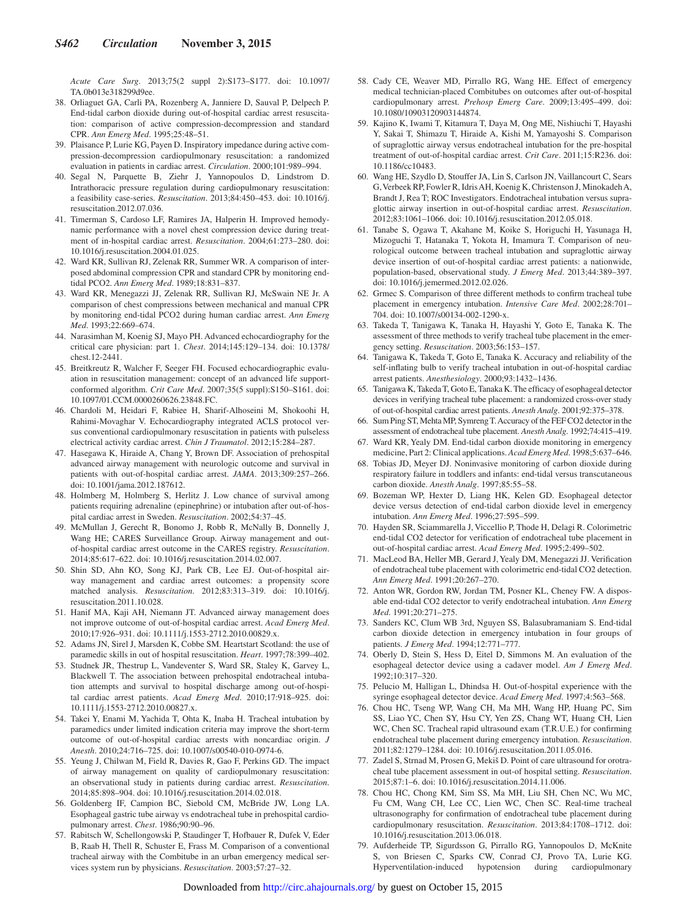*Acute Care Surg*. 2013;75(2 suppl 2):S173–S177. doi: 10.1097/ TA.0b013e318299d9ee.

- 38. Orliaguet GA, Carli PA, Rozenberg A, Janniere D, Sauval P, Delpech P. End-tidal carbon dioxide during out-of-hospital cardiac arrest resuscitation: comparison of active compression-decompression and standard CPR. *Ann Emerg Med*. 1995;25:48–51.
- 39. Plaisance P, Lurie KG, Payen D. Inspiratory impedance during active compression-decompression cardiopulmonary resuscitation: a randomized evaluation in patients in cardiac arrest. *Circulation*. 2000;101:989–994.
- 40. Segal N, Parquette B, Ziehr J, Yannopoulos D, Lindstrom D. Intrathoracic pressure regulation during cardiopulmonary resuscitation: a feasibility case-series. *Resuscitation*. 2013;84:450–453. doi: 10.1016/j. resuscitation.2012.07.036.
- 41. Timerman S, Cardoso LF, Ramires JA, Halperin H. Improved hemodynamic performance with a novel chest compression device during treatment of in-hospital cardiac arrest. *Resuscitation*. 2004;61:273–280. doi: 10.1016/j.resuscitation.2004.01.025.
- 42. Ward KR, Sullivan RJ, Zelenak RR, Summer WR. A comparison of interposed abdominal compression CPR and standard CPR by monitoring endtidal PCO2. *Ann Emerg Med*. 1989;18:831–837.
- 43. Ward KR, Menegazzi JJ, Zelenak RR, Sullivan RJ, McSwain NE Jr. A comparison of chest compressions between mechanical and manual CPR by monitoring end-tidal PCO2 during human cardiac arrest. *Ann Emerg Med*. 1993;22:669–674.
- 44. Narasimhan M, Koenig SJ, Mayo PH. Advanced echocardiography for the critical care physician: part 1. *Chest*. 2014;145:129–134. doi: 10.1378/ chest.12-2441.
- 45. Breitkreutz R, Walcher F, Seeger FH. Focused echocardiographic evaluation in resuscitation management: concept of an advanced life supportconformed algorithm. *Crit Care Med*. 2007;35(5 suppl):S150–S161. doi: 10.1097/01.CCM.0000260626.23848.FC.
- 46. Chardoli M, Heidari F, Rabiee H, Sharif-Alhoseini M, Shokoohi H, Rahimi-Movaghar V. Echocardiography integrated ACLS protocol versus conventional cardiopulmonary resuscitation in patients with pulseless electrical activity cardiac arrest. *Chin J Traumatol*. 2012;15:284–287.
- 47. Hasegawa K, Hiraide A, Chang Y, Brown DF. Association of prehospital advanced airway management with neurologic outcome and survival in patients with out-of-hospital cardiac arrest. *JAMA*. 2013;309:257–266. doi: 10.1001/jama.2012.187612.
- 48. Holmberg M, Holmberg S, Herlitz J. Low chance of survival among patients requiring adrenaline (epinephrine) or intubation after out-of-hospital cardiac arrest in Sweden. *Resuscitation*. 2002;54:37–45.
- 49. McMullan J, Gerecht R, Bonomo J, Robb R, McNally B, Donnelly J, Wang HE; CARES Surveillance Group. Airway management and outof-hospital cardiac arrest outcome in the CARES registry. *Resuscitation*. 2014;85:617–622. doi: 10.1016/j.resuscitation.2014.02.007.
- 50. Shin SD, Ahn KO, Song KJ, Park CB, Lee EJ. Out-of-hospital airway management and cardiac arrest outcomes: a propensity score matched analysis. *Resuscitation*. 2012;83:313–319. doi: 10.1016/j. resuscitation.2011.10.028.
- 51. Hanif MA, Kaji AH, Niemann JT. Advanced airway management does not improve outcome of out-of-hospital cardiac arrest. *Acad Emerg Med*. 2010;17:926–931. doi: 10.1111/j.1553-2712.2010.00829.x.
- 52. Adams JN, Sirel J, Marsden K, Cobbe SM. Heartstart Scotland: the use of paramedic skills in out of hospital resuscitation. *Heart*. 1997;78:399–402.
- 53. Studnek JR, Thestrup L, Vandeventer S, Ward SR, Staley K, Garvey L, Blackwell T. The association between prehospital endotracheal intubation attempts and survival to hospital discharge among out-of-hospital cardiac arrest patients. *Acad Emerg Med*. 2010;17:918–925. doi: 10.1111/j.1553-2712.2010.00827.x.
- 54. Takei Y, Enami M, Yachida T, Ohta K, Inaba H. Tracheal intubation by paramedics under limited indication criteria may improve the short-term outcome of out-of-hospital cardiac arrests with noncardiac origin. *J Anesth*. 2010;24:716–725. doi: 10.1007/s00540-010-0974-6.
- 55. Yeung J, Chilwan M, Field R, Davies R, Gao F, Perkins GD. The impact of airway management on quality of cardiopulmonary resuscitation: an observational study in patients during cardiac arrest. *Resuscitation*. 2014;85:898–904. doi: 10.1016/j.resuscitation.2014.02.018.
- 56. Goldenberg IF, Campion BC, Siebold CM, McBride JW, Long LA. Esophageal gastric tube airway vs endotracheal tube in prehospital cardiopulmonary arrest. *Chest*. 1986;90:90–96.
- 57. Rabitsch W, Schellongowski P, Staudinger T, Hofbauer R, Dufek V, Eder B, Raab H, Thell R, Schuster E, Frass M. Comparison of a conventional tracheal airway with the Combitube in an urban emergency medical services system run by physicians. *Resuscitation*. 2003;57:27–32.
- 58. Cady CE, Weaver MD, Pirrallo RG, Wang HE. Effect of emergency medical technician-placed Combitubes on outcomes after out-of-hospital cardiopulmonary arrest. *Prehosp Emerg Care*. 2009;13:495–499. doi: 10.1080/10903120903144874.
- 59. Kajino K, Iwami T, Kitamura T, Daya M, Ong ME, Nishiuchi T, Hayashi Y, Sakai T, Shimazu T, Hiraide A, Kishi M, Yamayoshi S. Comparison of supraglottic airway versus endotracheal intubation for the pre-hospital treatment of out-of-hospital cardiac arrest. *Crit Care*. 2011;15:R236. doi: 10.1186/cc10483.
- 60. Wang HE, Szydlo D, Stouffer JA, Lin S, Carlson JN, Vaillancourt C, Sears G, Verbeek RP, Fowler R, Idris AH, Koenig K, Christenson J, Minokadeh A, Brandt J, Rea T; ROC Investigators. Endotracheal intubation versus supraglottic airway insertion in out-of-hospital cardiac arrest. *Resuscitation*. 2012;83:1061–1066. doi: 10.1016/j.resuscitation.2012.05.018.
- 61. Tanabe S, Ogawa T, Akahane M, Koike S, Horiguchi H, Yasunaga H, Mizoguchi T, Hatanaka T, Yokota H, Imamura T. Comparison of neurological outcome between tracheal intubation and supraglottic airway device insertion of out-of-hospital cardiac arrest patients: a nationwide, population-based, observational study. *J Emerg Med*. 2013;44:389–397. doi: 10.1016/j.jemermed.2012.02.026.
- 62. Grmec S. Comparison of three different methods to confirm tracheal tube placement in emergency intubation. *Intensive Care Med*. 2002;28:701– 704. doi: 10.1007/s00134-002-1290-x.
- 63. Takeda T, Tanigawa K, Tanaka H, Hayashi Y, Goto E, Tanaka K. The assessment of three methods to verify tracheal tube placement in the emergency setting. *Resuscitation*. 2003;56:153–157.
- 64. Tanigawa K, Takeda T, Goto E, Tanaka K. Accuracy and reliability of the self-inflating bulb to verify tracheal intubation in out-of-hospital cardiac arrest patients. *Anesthesiology*. 2000;93:1432–1436.
- 65. Tanigawa K, Takeda T, Goto E, Tanaka K. The efficacy of esophageal detector devices in verifying tracheal tube placement: a randomized cross-over study of out-of-hospital cardiac arrest patients. *Anesth Analg*. 2001;92:375–378.
- 66. Sum Ping ST, Mehta MP, Symreng T. Accuracy of the FEF CO2 detector in the assessment of endotracheal tube placement. *Anesth Analg*. 1992;74:415–419.
- 67. Ward KR, Yealy DM. End-tidal carbon dioxide monitoring in emergency medicine, Part 2: Clinical applications. *Acad Emerg Med*. 1998;5:637–646.
- 68. Tobias JD, Meyer DJ. Noninvasive monitoring of carbon dioxide during respiratory failure in toddlers and infants: end-tidal versus transcutaneous carbon dioxide. *Anesth Analg*. 1997;85:55–58.
- 69. Bozeman WP, Hexter D, Liang HK, Kelen GD. Esophageal detector device versus detection of end-tidal carbon dioxide level in emergency intubation. *Ann Emerg Med*. 1996;27:595–599.
- 70. Hayden SR, Sciammarella J, Viccellio P, Thode H, Delagi R. Colorimetric end-tidal CO2 detector for verification of endotracheal tube placement in out-of-hospital cardiac arrest. *Acad Emerg Med*. 1995;2:499–502.
- 71. MacLeod BA, Heller MB, Gerard J, Yealy DM, Menegazzi JJ. Verification of endotracheal tube placement with colorimetric end-tidal CO2 detection. *Ann Emerg Med*. 1991;20:267–270.
- 72. Anton WR, Gordon RW, Jordan TM, Posner KL, Cheney FW. A disposable end-tidal CO2 detector to verify endotracheal intubation. *Ann Emerg Med*. 1991;20:271–275.
- 73. Sanders KC, Clum WB 3rd, Nguyen SS, Balasubramaniam S. End-tidal carbon dioxide detection in emergency intubation in four groups of patients. *J Emerg Med*. 1994;12:771–777.
- 74. Oberly D, Stein S, Hess D, Eitel D, Simmons M. An evaluation of the esophageal detector device using a cadaver model. *Am J Emerg Med*. 1992;10:317–320.
- 75. Pelucio M, Halligan L, Dhindsa H. Out-of-hospital experience with the syringe esophageal detector device. *Acad Emerg Med*. 1997;4:563–568.
- 76. Chou HC, Tseng WP, Wang CH, Ma MH, Wang HP, Huang PC, Sim SS, Liao YC, Chen SY, Hsu CY, Yen ZS, Chang WT, Huang CH, Lien WC, Chen SC. Tracheal rapid ultrasound exam (T.R.U.E.) for confirming endotracheal tube placement during emergency intubation. *Resuscitation*. 2011;82:1279–1284. doi: 10.1016/j.resuscitation.2011.05.016.
- 77. Zadel S, Strnad M, Prosen G, Mekiš D. Point of care ultrasound for orotracheal tube placement assessment in out-of hospital setting. *Resuscitation*. 2015;87:1–6. doi: 10.1016/j.resuscitation.2014.11.006.
- 78. Chou HC, Chong KM, Sim SS, Ma MH, Liu SH, Chen NC, Wu MC, Fu CM, Wang CH, Lee CC, Lien WC, Chen SC. Real-time tracheal ultrasonography for confirmation of endotracheal tube placement during cardiopulmonary resuscitation. *Resuscitation*. 2013;84:1708–1712. doi: 10.1016/j.resuscitation.2013.06.018.
- 79. Aufderheide TP, Sigurdsson G, Pirrallo RG, Yannopoulos D, McKnite S, von Briesen C, Sparks CW, Conrad CJ, Provo TA, Lurie KG. Hyperventilation-induced hypotension during cardiopulmonary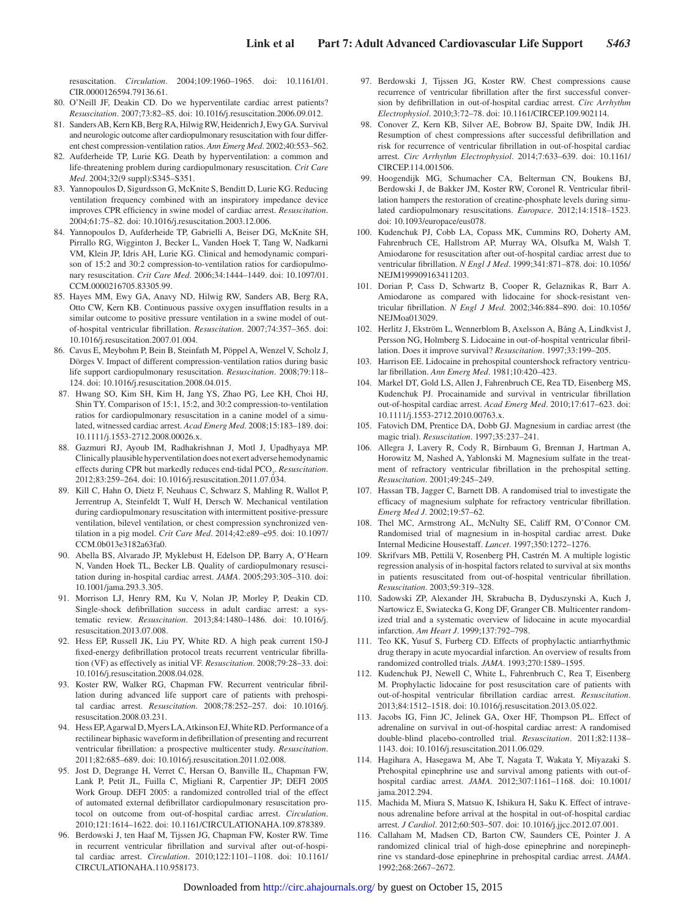resuscitation. *Circulation*. 2004;109:1960–1965. doi: 10.1161/01. CIR.0000126594.79136.61.

- 80. O'Neill JF, Deakin CD. Do we hyperventilate cardiac arrest patients? *Resuscitation*. 2007;73:82–85. doi: 10.1016/j.resuscitation.2006.09.012.
- 81. Sanders AB, Kern KB, Berg RA, Hilwig RW, Heidenrich J, Ewy GA. Survival and neurologic outcome after cardiopulmonary resuscitation with four different chest compression-ventilation ratios. *Ann Emerg Med*. 2002;40:553–562.
- 82. Aufderheide TP, Lurie KG. Death by hyperventilation: a common and life-threatening problem during cardiopulmonary resuscitation. *Crit Care Med*. 2004;32(9 suppl):S345–S351.
- 83. Yannopoulos D, Sigurdsson G, McKnite S, Benditt D, Lurie KG. Reducing ventilation frequency combined with an inspiratory impedance device improves CPR efficiency in swine model of cardiac arrest. *Resuscitation*. 2004;61:75–82. doi: 10.1016/j.resuscitation.2003.12.006.
- 84. Yannopoulos D, Aufderheide TP, Gabrielli A, Beiser DG, McKnite SH, Pirrallo RG, Wigginton J, Becker L, Vanden Hoek T, Tang W, Nadkarni VM, Klein JP, Idris AH, Lurie KG. Clinical and hemodynamic comparison of 15:2 and 30:2 compression-to-ventilation ratios for cardiopulmonary resuscitation. *Crit Care Med*. 2006;34:1444–1449. doi: 10.1097/01. CCM.0000216705.83305.99.
- 85. Hayes MM, Ewy GA, Anavy ND, Hilwig RW, Sanders AB, Berg RA, Otto CW, Kern KB. Continuous passive oxygen insufflation results in a similar outcome to positive pressure ventilation in a swine model of outof-hospital ventricular fibrillation. *Resuscitation*. 2007;74:357–365. doi: 10.1016/j.resuscitation.2007.01.004.
- 86. Cavus E, Meybohm P, Bein B, Steinfath M, Pöppel A, Wenzel V, Scholz J, Dörges V. Impact of different compression-ventilation ratios during basic life support cardiopulmonary resuscitation. *Resuscitation*. 2008;79:118– 124. doi: 10.1016/j.resuscitation.2008.04.015.
- 87. Hwang SO, Kim SH, Kim H, Jang YS, Zhao PG, Lee KH, Choi HJ, Shin TY. Comparison of 15:1, 15:2, and 30:2 compression-to-ventilation ratios for cardiopulmonary resuscitation in a canine model of a simulated, witnessed cardiac arrest. *Acad Emerg Med*. 2008;15:183–189. doi: 10.1111/j.1553-2712.2008.00026.x.
- 88. Gazmuri RJ, Ayoub IM, Radhakrishnan J, Motl J, Upadhyaya MP. Clinically plausible hyperventilation does not exert adverse hemodynamic effects during CPR but markedly reduces end-tidal PCO<sub>2</sub>. Resuscitation. 2012;83:259–264. doi: 10.1016/j.resuscitation.2011.07.034.
- 89. Kill C, Hahn O, Dietz F, Neuhaus C, Schwarz S, Mahling R, Wallot P, Jerrentrup A, Steinfeldt T, Wulf H, Dersch W. Mechanical ventilation during cardiopulmonary resuscitation with intermittent positive-pressure ventilation, bilevel ventilation, or chest compression synchronized ventilation in a pig model. *Crit Care Med*. 2014;42:e89–e95. doi: 10.1097/ CCM.0b013e3182a63fa0.
- 90. Abella BS, Alvarado JP, Myklebust H, Edelson DP, Barry A, O'Hearn N, Vanden Hoek TL, Becker LB. Quality of cardiopulmonary resuscitation during in-hospital cardiac arrest. *JAMA*. 2005;293:305–310. doi: 10.1001/jama.293.3.305.
- 91. Morrison LJ, Henry RM, Ku V, Nolan JP, Morley P, Deakin CD. Single-shock defibrillation success in adult cardiac arrest: a systematic review. *Resuscitation*. 2013;84:1480–1486. doi: 10.1016/j. resuscitation.2013.07.008.
- 92. Hess EP, Russell JK, Liu PY, White RD. A high peak current 150-J fixed-energy defibrillation protocol treats recurrent ventricular fibrillation (VF) as effectively as initial VF. *Resuscitation*. 2008;79:28–33. doi: 10.1016/j.resuscitation.2008.04.028.
- 93. Koster RW, Walker RG, Chapman FW. Recurrent ventricular fibrillation during advanced life support care of patients with prehospital cardiac arrest. *Resuscitation*. 2008;78:252–257. doi: 10.1016/j. resuscitation.2008.03.231.
- 94. Hess EP, Agarwal D, Myers LA, Atkinson EJ, White RD. Performance of a rectilinear biphasic waveform in defibrillation of presenting and recurrent ventricular fibrillation: a prospective multicenter study. *Resuscitation*. 2011;82:685–689. doi: 10.1016/j.resuscitation.2011.02.008.
- 95. Jost D, Degrange H, Verret C, Hersan O, Banville IL, Chapman FW, Lank P, Petit JL, Fuilla C, Migliani R, Carpentier JP; DEFI 2005 Work Group. DEFI 2005: a randomized controlled trial of the effect of automated external defibrillator cardiopulmonary resuscitation protocol on outcome from out-of-hospital cardiac arrest. *Circulation*. 2010;121:1614–1622. doi: 10.1161/CIRCULATIONAHA.109.878389.
- 96. Berdowski J, ten Haaf M, Tijssen JG, Chapman FW, Koster RW. Time in recurrent ventricular fibrillation and survival after out-of-hospital cardiac arrest. *Circulation*. 2010;122:1101–1108. doi: 10.1161/ CIRCULATIONAHA.110.958173.
- 97. Berdowski J, Tijssen JG, Koster RW. Chest compressions cause recurrence of ventricular fibrillation after the first successful conversion by defibrillation in out-of-hospital cardiac arrest. *Circ Arrhythm Electrophysiol*. 2010;3:72–78. doi: 10.1161/CIRCEP.109.902114.
- 98. Conover Z, Kern KB, Silver AE, Bobrow BJ, Spaite DW, Indik JH. Resumption of chest compressions after successful defibrillation and risk for recurrence of ventricular fibrillation in out-of-hospital cardiac arrest. *Circ Arrhythm Electrophysiol*. 2014;7:633–639. doi: 10.1161/ CIRCEP.114.001506.
- 99. Hoogendijk MG, Schumacher CA, Belterman CN, Boukens BJ, Berdowski J, de Bakker JM, Koster RW, Coronel R. Ventricular fibrillation hampers the restoration of creatine-phosphate levels during simulated cardiopulmonary resuscitations. *Europace*. 2012;14:1518–1523. doi: 10.1093/europace/eus078.
- 100. Kudenchuk PJ, Cobb LA, Copass MK, Cummins RO, Doherty AM, Fahrenbruch CE, Hallstrom AP, Murray WA, Olsufka M, Walsh T. Amiodarone for resuscitation after out-of-hospital cardiac arrest due to ventricular fibrillation. *N Engl J Med*. 1999;341:871–878. doi: 10.1056/ NEJM199909163411203.
- 101. Dorian P, Cass D, Schwartz B, Cooper R, Gelaznikas R, Barr A. Amiodarone as compared with lidocaine for shock-resistant ventricular fibrillation. *N Engl J Med*. 2002;346:884–890. doi: 10.1056/ NEJMoa013029.
- 102. Herlitz J, Ekström L, Wennerblom B, Axelsson A, Bång A, Lindkvist J, Persson NG, Holmberg S. Lidocaine in out-of-hospital ventricular fibrillation. Does it improve survival? *Resuscitation*. 1997;33:199–205.
- 103. Harrison EE. Lidocaine in prehospital countershock refractory ventricular fibrillation. *Ann Emerg Med*. 1981;10:420–423.
- 104. Markel DT, Gold LS, Allen J, Fahrenbruch CE, Rea TD, Eisenberg MS, Kudenchuk PJ. Procainamide and survival in ventricular fibrillation out-of-hospital cardiac arrest. *Acad Emerg Med*. 2010;17:617–623. doi: 10.1111/j.1553-2712.2010.00763.x.
- 105. Fatovich DM, Prentice DA, Dobb GJ. Magnesium in cardiac arrest (the magic trial). *Resuscitation*. 1997;35:237–241.
- 106. Allegra J, Lavery R, Cody R, Birnbaum G, Brennan J, Hartman A, Horowitz M, Nashed A, Yablonski M. Magnesium sulfate in the treatment of refractory ventricular fibrillation in the prehospital setting. *Resuscitation*. 2001;49:245–249.
- 107. Hassan TB, Jagger C, Barnett DB. A randomised trial to investigate the efficacy of magnesium sulphate for refractory ventricular fibrillation. *Emerg Med J*. 2002;19:57–62.
- 108. Thel MC, Armstrong AL, McNulty SE, Califf RM, O'Connor CM. Randomised trial of magnesium in in-hospital cardiac arrest. Duke Internal Medicine Housestaff. *Lancet*. 1997;350:1272–1276.
- 109. Skrifvars MB, Pettilä V, Rosenberg PH, Castrén M. A multiple logistic regression analysis of in-hospital factors related to survival at six months in patients resuscitated from out-of-hospital ventricular fibrillation. *Resuscitation*. 2003;59:319–328.
- 110. Sadowski ZP, Alexander JH, Skrabucha B, Dyduszynski A, Kuch J, Nartowicz E, Swiatecka G, Kong DF, Granger CB. Multicenter randomized trial and a systematic overview of lidocaine in acute myocardial infarction. *Am Heart J*. 1999;137:792–798.
- 111. Teo KK, Yusuf S, Furberg CD. Effects of prophylactic antiarrhythmic drug therapy in acute myocardial infarction. An overview of results from randomized controlled trials. *JAMA*. 1993;270:1589–1595.
- 112. Kudenchuk PJ, Newell C, White L, Fahrenbruch C, Rea T, Eisenberg M. Prophylactic lidocaine for post resuscitation care of patients with out-of-hospital ventricular fibrillation cardiac arrest. *Resuscitation*. 2013;84:1512–1518. doi: 10.1016/j.resuscitation.2013.05.022.
- 113. Jacobs IG, Finn JC, Jelinek GA, Oxer HF, Thompson PL. Effect of adrenaline on survival in out-of-hospital cardiac arrest: A randomised double-blind placebo-controlled trial. *Resuscitation*. 2011;82:1138– 1143. doi: 10.1016/j.resuscitation.2011.06.029.
- 114. Hagihara A, Hasegawa M, Abe T, Nagata T, Wakata Y, Miyazaki S. Prehospital epinephrine use and survival among patients with out-ofhospital cardiac arrest. *JAMA*. 2012;307:1161–1168. doi: 10.1001/ jama.2012.294.
- 115. Machida M, Miura S, Matsuo K, Ishikura H, Saku K. Effect of intravenous adrenaline before arrival at the hospital in out-of-hospital cardiac arrest. *J Cardiol*. 2012;60:503–507. doi: 10.1016/j.jjcc.2012.07.001.
- 116. Callaham M, Madsen CD, Barton CW, Saunders CE, Pointer J. A randomized clinical trial of high-dose epinephrine and norepinephrine vs standard-dose epinephrine in prehospital cardiac arrest. *JAMA*. 1992;268:2667–2672.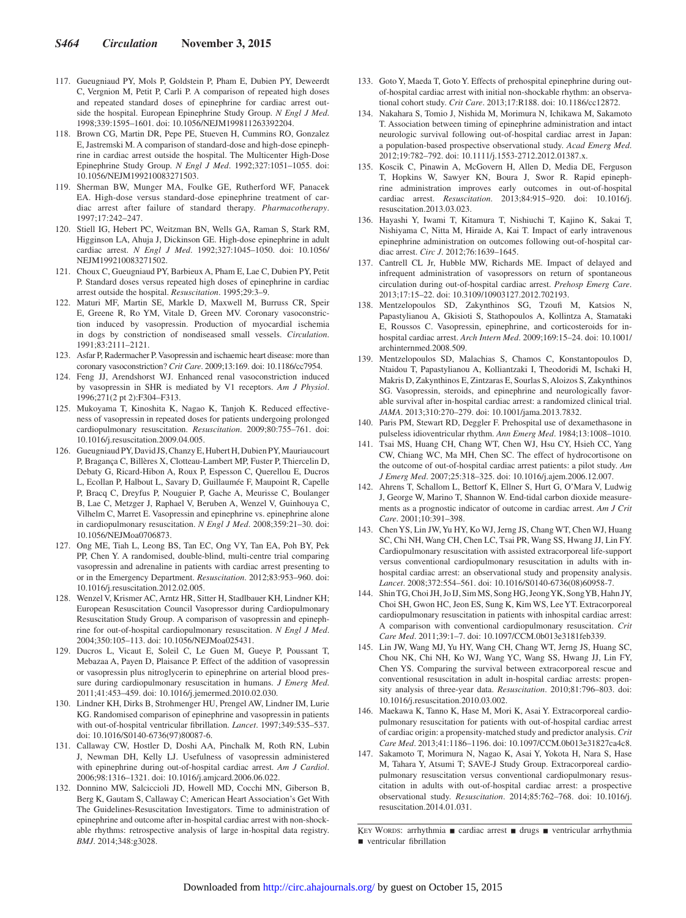- 117. Gueugniaud PY, Mols P, Goldstein P, Pham E, Dubien PY, Deweerdt C, Vergnion M, Petit P, Carli P. A comparison of repeated high doses and repeated standard doses of epinephrine for cardiac arrest outside the hospital. European Epinephrine Study Group. *N Engl J Med*. 1998;339:1595–1601. doi: 10.1056/NEJM199811263392204.
- 118. Brown CG, Martin DR, Pepe PE, Stueven H, Cummins RO, Gonzalez E, Jastremski M. A comparison of standard-dose and high-dose epinephrine in cardiac arrest outside the hospital. The Multicenter High-Dose Epinephrine Study Group. *N Engl J Med*. 1992;327:1051–1055. doi: 10.1056/NEJM199210083271503.
- 119. Sherman BW, Munger MA, Foulke GE, Rutherford WF, Panacek EA. High-dose versus standard-dose epinephrine treatment of cardiac arrest after failure of standard therapy. *Pharmacotherapy*. 1997;17:242–247.
- 120. Stiell IG, Hebert PC, Weitzman BN, Wells GA, Raman S, Stark RM, Higginson LA, Ahuja J, Dickinson GE. High-dose epinephrine in adult cardiac arrest. *N Engl J Med*. 1992;327:1045–1050. doi: 10.1056/ NEJM199210083271502.
- 121. Choux C, Gueugniaud PY, Barbieux A, Pham E, Lae C, Dubien PY, Petit P. Standard doses versus repeated high doses of epinephrine in cardiac arrest outside the hospital. *Resuscitation*. 1995;29:3–9.
- 122. Maturi MF, Martin SE, Markle D, Maxwell M, Burruss CR, Speir E, Greene R, Ro YM, Vitale D, Green MV. Coronary vasoconstriction induced by vasopressin. Production of myocardial ischemia in dogs by constriction of nondiseased small vessels. *Circulation*. 1991;83:2111–2121.
- 123. Asfar P, Radermacher P. Vasopressin and ischaemic heart disease: more than coronary vasoconstriction? *Crit Care*. 2009;13:169. doi: 10.1186/cc7954.
- 124. Feng JJ, Arendshorst WJ. Enhanced renal vasoconstriction induced by vasopressin in SHR is mediated by V1 receptors. *Am J Physiol*. 1996;271(2 pt 2):F304–F313.
- 125. Mukoyama T, Kinoshita K, Nagao K, Tanjoh K. Reduced effectiveness of vasopressin in repeated doses for patients undergoing prolonged cardiopulmonary resuscitation. *Resuscitation*. 2009;80:755–761. doi: 10.1016/j.resuscitation.2009.04.005.
- 126. Gueugniaud PY, David JS, Chanzy E, Hubert H, Dubien PY, Mauriaucourt P, Bragança C, Billères X, Clotteau-Lambert MP, Fuster P, Thiercelin D, Debaty G, Ricard-Hibon A, Roux P, Espesson C, Querellou E, Ducros L, Ecollan P, Halbout L, Savary D, Guillaumée F, Maupoint R, Capelle P, Bracq C, Dreyfus P, Nouguier P, Gache A, Meurisse C, Boulanger B, Lae C, Metzger J, Raphael V, Beruben A, Wenzel V, Guinhouya C, Vilhelm C, Marret E. Vasopressin and epinephrine vs. epinephrine alone in cardiopulmonary resuscitation. *N Engl J Med*. 2008;359:21–30. doi: 10.1056/NEJMoa0706873.
- 127. Ong ME, Tiah L, Leong BS, Tan EC, Ong VY, Tan EA, Poh BY, Pek PP, Chen Y. A randomised, double-blind, multi-centre trial comparing vasopressin and adrenaline in patients with cardiac arrest presenting to or in the Emergency Department. *Resuscitation*. 2012;83:953–960. doi: 10.1016/j.resuscitation.2012.02.005.
- 128. Wenzel V, Krismer AC, Arntz HR, Sitter H, Stadlbauer KH, Lindner KH; European Resuscitation Council Vasopressor during Cardiopulmonary Resuscitation Study Group. A comparison of vasopressin and epinephrine for out-of-hospital cardiopulmonary resuscitation. *N Engl J Med*. 2004;350:105–113. doi: 10.1056/NEJMoa025431.
- 129. Ducros L, Vicaut E, Soleil C, Le Guen M, Gueye P, Poussant T, Mebazaa A, Payen D, Plaisance P. Effect of the addition of vasopressin or vasopressin plus nitroglycerin to epinephrine on arterial blood pressure during cardiopulmonary resuscitation in humans. *J Emerg Med*. 2011;41:453–459. doi: 10.1016/j.jemermed.2010.02.030.
- 130. Lindner KH, Dirks B, Strohmenger HU, Prengel AW, Lindner IM, Lurie KG. Randomised comparison of epinephrine and vasopressin in patients with out-of-hospital ventricular fibrillation. *Lancet*. 1997;349:535–537. doi: 10.1016/S0140-6736(97)80087-6.
- 131. Callaway CW, Hostler D, Doshi AA, Pinchalk M, Roth RN, Lubin J, Newman DH, Kelly LJ. Usefulness of vasopressin administered with epinephrine during out-of-hospital cardiac arrest. *Am J Cardiol*. 2006;98:1316–1321. doi: 10.1016/j.amjcard.2006.06.022.
- 132. Donnino MW, Salciccioli JD, Howell MD, Cocchi MN, Giberson B, Berg K, Gautam S, Callaway C; American Heart Association's Get With The Guidelines-Resuscitation Investigators. Time to administration of epinephrine and outcome after in-hospital cardiac arrest with non-shockable rhythms: retrospective analysis of large in-hospital data registry. *BMJ*. 2014;348:g3028.
- 133. Goto Y, Maeda T, Goto Y. Effects of prehospital epinephrine during outof-hospital cardiac arrest with initial non-shockable rhythm: an observational cohort study. *Crit Care*. 2013;17:R188. doi: 10.1186/cc12872.
- 134. Nakahara S, Tomio J, Nishida M, Morimura N, Ichikawa M, Sakamoto T. Association between timing of epinephrine administration and intact neurologic survival following out-of-hospital cardiac arrest in Japan: a population-based prospective observational study. *Acad Emerg Med*. 2012;19:782–792. doi: 10.1111/j.1553-2712.2012.01387.x.
- 135. Koscik C, Pinawin A, McGovern H, Allen D, Media DE, Ferguson T, Hopkins W, Sawyer KN, Boura J, Swor R. Rapid epinephrine administration improves early outcomes in out-of-hospital cardiac arrest. *Resuscitation*. 2013;84:915–920. doi: 10.1016/j. resuscitation.2013.03.023.
- 136. Hayashi Y, Iwami T, Kitamura T, Nishiuchi T, Kajino K, Sakai T, Nishiyama C, Nitta M, Hiraide A, Kai T. Impact of early intravenous epinephrine administration on outcomes following out-of-hospital cardiac arrest. *Circ J*. 2012;76:1639–1645.
- 137. Cantrell CL Jr, Hubble MW, Richards ME. Impact of delayed and infrequent administration of vasopressors on return of spontaneous circulation during out-of-hospital cardiac arrest. *Prehosp Emerg Care*. 2013;17:15–22. doi: 10.3109/10903127.2012.702193.
- Mentzelopoulos SD, Zakynthinos SG, Tzoufi M, Katsios N, Papastylianou A, Gkisioti S, Stathopoulos A, Kollintza A, Stamataki E, Roussos C. Vasopressin, epinephrine, and corticosteroids for inhospital cardiac arrest. *Arch Intern Med*. 2009;169:15–24. doi: 10.1001/ archinternmed.2008.509.
- 139. Mentzelopoulos SD, Malachias S, Chamos C, Konstantopoulos D, Ntaidou T, Papastylianou A, Kolliantzaki I, Theodoridi M, Ischaki H, Makris D, Zakynthinos E, Zintzaras E, Sourlas S, Aloizos S, Zakynthinos SG. Vasopressin, steroids, and epinephrine and neurologically favorable survival after in-hospital cardiac arrest: a randomized clinical trial. *JAMA*. 2013;310:270–279. doi: 10.1001/jama.2013.7832.
- 140. Paris PM, Stewart RD, Deggler F. Prehospital use of dexamethasone in pulseless idioventricular rhythm. *Ann Emerg Med*. 1984;13:1008–1010.
- 141. Tsai MS, Huang CH, Chang WT, Chen WJ, Hsu CY, Hsieh CC, Yang CW, Chiang WC, Ma MH, Chen SC. The effect of hydrocortisone on the outcome of out-of-hospital cardiac arrest patients: a pilot study. *Am J Emerg Med*. 2007;25:318–325. doi: 10.1016/j.ajem.2006.12.007.
- 142. Ahrens T, Schallom L, Bettorf K, Ellner S, Hurt G, O'Mara V, Ludwig J, George W, Marino T, Shannon W. End-tidal carbon dioxide measurements as a prognostic indicator of outcome in cardiac arrest. *Am J Crit Care*. 2001;10:391–398.
- 143. Chen YS, Lin JW, Yu HY, Ko WJ, Jerng JS, Chang WT, Chen WJ, Huang SC, Chi NH, Wang CH, Chen LC, Tsai PR, Wang SS, Hwang JJ, Lin FY. Cardiopulmonary resuscitation with assisted extracorporeal life-support versus conventional cardiopulmonary resuscitation in adults with inhospital cardiac arrest: an observational study and propensity analysis. *Lancet*. 2008;372:554–561. doi: 10.1016/S0140-6736(08)60958-7.
- 144. Shin TG, Choi JH, Jo IJ, Sim MS, Song HG, Jeong YK, Song YB, Hahn JY, Choi SH, Gwon HC, Jeon ES, Sung K, Kim WS, Lee YT. Extracorporeal cardiopulmonary resuscitation in patients with inhospital cardiac arrest: A comparison with conventional cardiopulmonary resuscitation. *Crit Care Med*. 2011;39:1–7. doi: 10.1097/CCM.0b013e3181feb339.
- 145. Lin JW, Wang MJ, Yu HY, Wang CH, Chang WT, Jerng JS, Huang SC, Chou NK, Chi NH, Ko WJ, Wang YC, Wang SS, Hwang JJ, Lin FY, Chen YS. Comparing the survival between extracorporeal rescue and conventional resuscitation in adult in-hospital cardiac arrests: propensity analysis of three-year data. *Resuscitation*. 2010;81:796–803. doi: 10.1016/j.resuscitation.2010.03.002.
- 146. Maekawa K, Tanno K, Hase M, Mori K, Asai Y. Extracorporeal cardiopulmonary resuscitation for patients with out-of-hospital cardiac arrest of cardiac origin: a propensity-matched study and predictor analysis. *Crit Care Med*. 2013;41:1186–1196. doi: 10.1097/CCM.0b013e31827ca4c8.
- 147. Sakamoto T, Morimura N, Nagao K, Asai Y, Yokota H, Nara S, Hase M, Tahara Y, Atsumi T; SAVE-J Study Group. Extracorporeal cardiopulmonary resuscitation versus conventional cardiopulmonary resuscitation in adults with out-of-hospital cardiac arrest: a prospective observational study. *Resuscitation*. 2014;85:762–768. doi: 10.1016/j. resuscitation.2014.01.031.

KEY WORDS: arrhythmia ■ cardiac arrest ■ drugs ■ ventricular arrhythmia ■ ventricular fibrillation